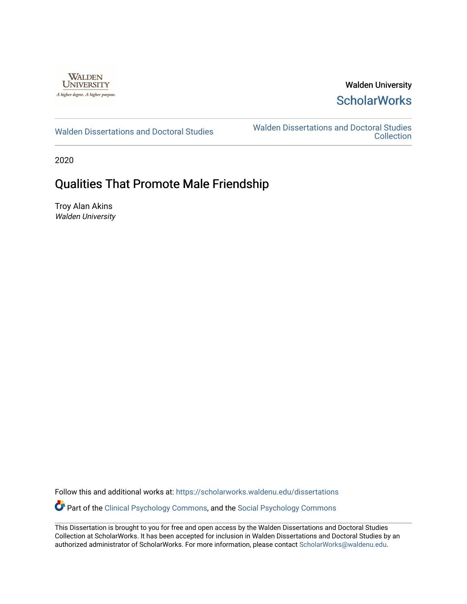

## Walden University **ScholarWorks**

[Walden Dissertations and Doctoral Studies](https://scholarworks.waldenu.edu/dissertations) Walden Dissertations and Doctoral Studies **Collection** 

2020

# Qualities That Promote Male Friendship

Troy Alan Akins Walden University

Follow this and additional works at: [https://scholarworks.waldenu.edu/dissertations](https://scholarworks.waldenu.edu/dissertations?utm_source=scholarworks.waldenu.edu%2Fdissertations%2F8258&utm_medium=PDF&utm_campaign=PDFCoverPages)

**Part of the [Clinical Psychology Commons,](http://network.bepress.com/hgg/discipline/406?utm_source=scholarworks.waldenu.edu%2Fdissertations%2F8258&utm_medium=PDF&utm_campaign=PDFCoverPages) and the [Social Psychology Commons](http://network.bepress.com/hgg/discipline/414?utm_source=scholarworks.waldenu.edu%2Fdissertations%2F8258&utm_medium=PDF&utm_campaign=PDFCoverPages)** 

This Dissertation is brought to you for free and open access by the Walden Dissertations and Doctoral Studies Collection at ScholarWorks. It has been accepted for inclusion in Walden Dissertations and Doctoral Studies by an authorized administrator of ScholarWorks. For more information, please contact [ScholarWorks@waldenu.edu](mailto:ScholarWorks@waldenu.edu).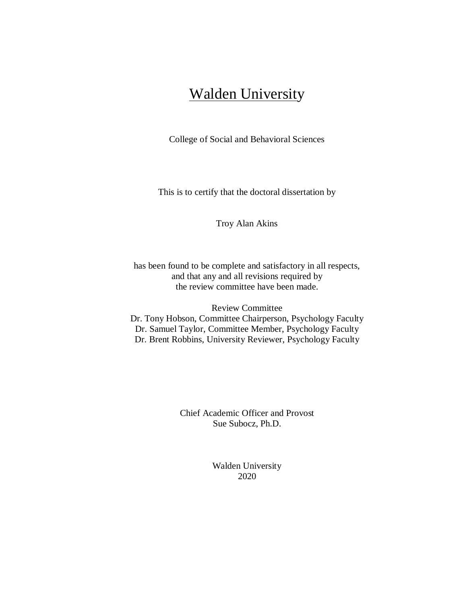# **Walden University**

College of Social and Behavioral Sciences

This is to certify that the doctoral dissertation by

Troy Alan Akins

has been found to be complete and satisfactory in all respects, and that any and all revisions required by the review committee have been made.

Review Committee Dr. Tony Hobson, Committee Chairperson, Psychology Faculty Dr. Samuel Taylor, Committee Member, Psychology Faculty Dr. Brent Robbins, University Reviewer, Psychology Faculty

> Chief Academic Officer and Provost Sue Subocz, Ph.D.

> > Walden University 2020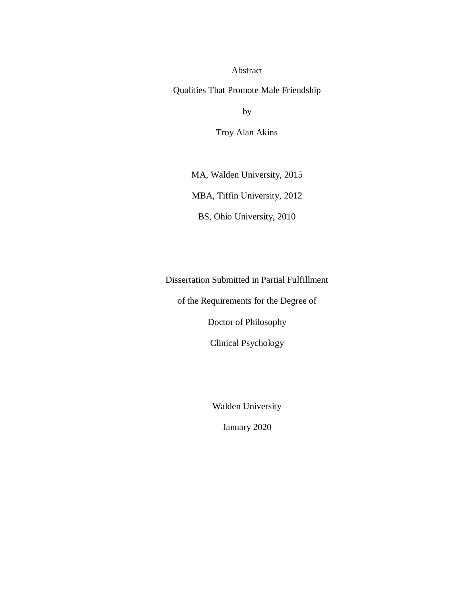Abstract

Qualities That Promote Male Friendship

by

Troy Alan Akins

MA, Walden University, 2015

MBA, Tiffin University, 2012

BS, Ohio University, 2010

Dissertation Submitted in Partial Fulfillment

of the Requirements for the Degree of

Doctor of Philosophy

Clinical Psychology

Walden University

January 2020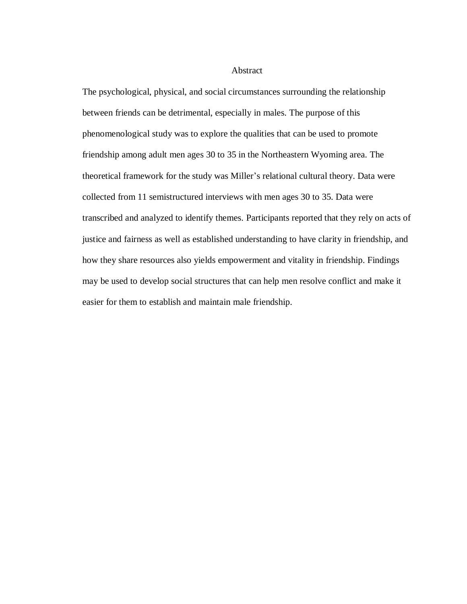#### Abstract

The psychological, physical, and social circumstances surrounding the relationship between friends can be detrimental, especially in males. The purpose of this phenomenological study was to explore the qualities that can be used to promote friendship among adult men ages 30 to 35 in the Northeastern Wyoming area. The theoretical framework for the study was Miller's relational cultural theory. Data were collected from 11 semistructured interviews with men ages 30 to 35. Data were transcribed and analyzed to identify themes. Participants reported that they rely on acts of justice and fairness as well as established understanding to have clarity in friendship, and how they share resources also yields empowerment and vitality in friendship. Findings may be used to develop social structures that can help men resolve conflict and make it easier for them to establish and maintain male friendship.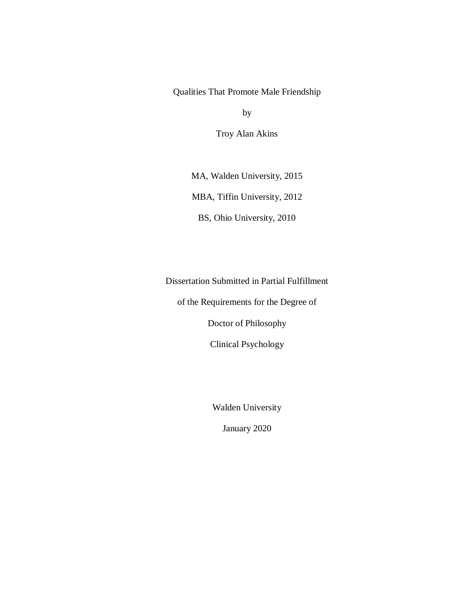## Qualities That Promote Male Friendship

by

Troy Alan Akins

MA, Walden University, 2015

MBA, Tiffin University, 2012

BS, Ohio University, 2010

Dissertation Submitted in Partial Fulfillment

of the Requirements for the Degree of

Doctor of Philosophy

Clinical Psychology

Walden University

January 2020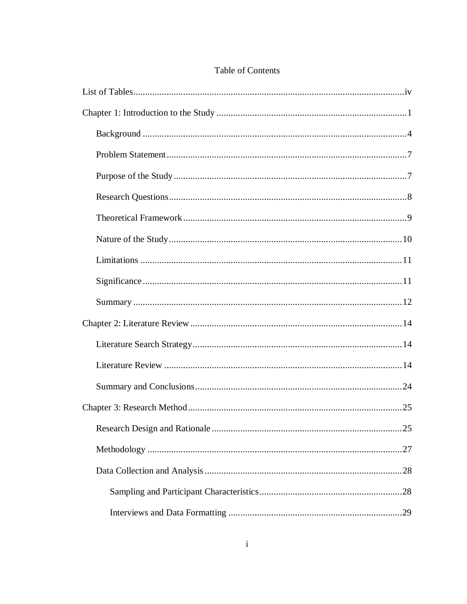## Table of Contents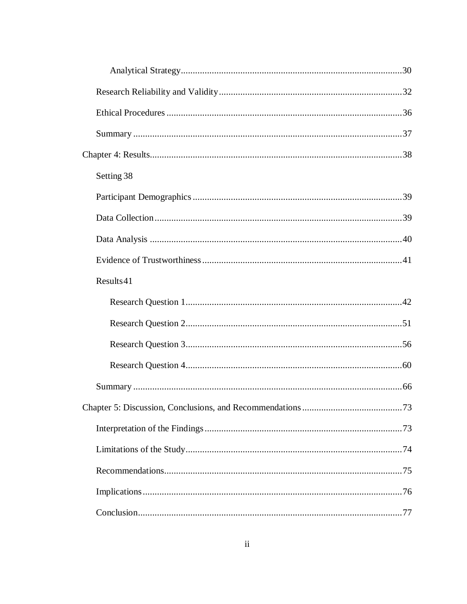| Setting 38 |  |
|------------|--|
|            |  |
|            |  |
|            |  |
|            |  |
| Results41  |  |
|            |  |
|            |  |
|            |  |
|            |  |
|            |  |
|            |  |
|            |  |
|            |  |
|            |  |
|            |  |
|            |  |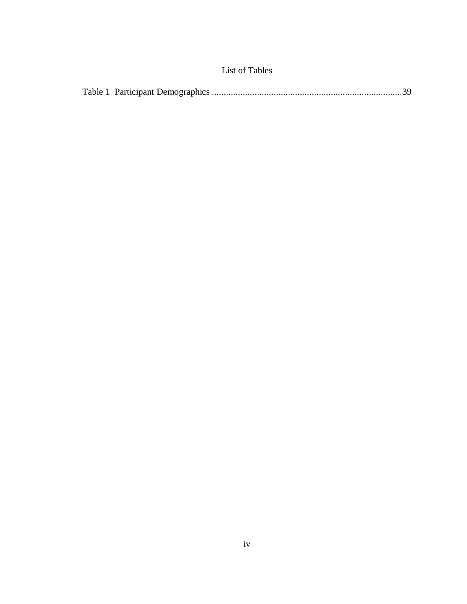<span id="page-8-0"></span>

|--|--|--|--|--|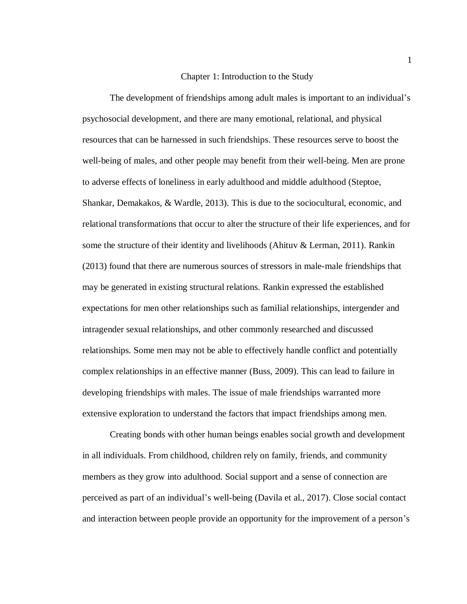#### Chapter 1: Introduction to the Study

<span id="page-9-0"></span>The development of friendships among adult males is important to an individual's psychosocial development, and there are many emotional, relational, and physical resources that can be harnessed in such friendships. These resources serve to boost the well-being of males, and other people may benefit from their well-being. Men are prone to adverse effects of loneliness in early adulthood and middle adulthood (Steptoe, Shankar, Demakakos, & Wardle, 2013). This is due to the sociocultural, economic, and relational transformations that occur to alter the structure of their life experiences, and for some the structure of their identity and livelihoods (Ahituv & Lerman, 2011). Rankin (2013) found that there are numerous sources of stressors in male-male friendships that may be generated in existing structural relations. Rankin expressed the established expectations for men other relationships such as familial relationships, intergender and intragender sexual relationships, and other commonly researched and discussed relationships. Some men may not be able to effectively handle conflict and potentially complex relationships in an effective manner (Buss, 2009). This can lead to failure in developing friendships with males. The issue of male friendships warranted more extensive exploration to understand the factors that impact friendships among men.

Creating bonds with other human beings enables social growth and development in all individuals. From childhood, children rely on family, friends, and community members as they grow into adulthood. Social support and a sense of connection are perceived as part of an individual's well-being (Davila et al., 2017). Close social contact and interaction between people provide an opportunity for the improvement of a person's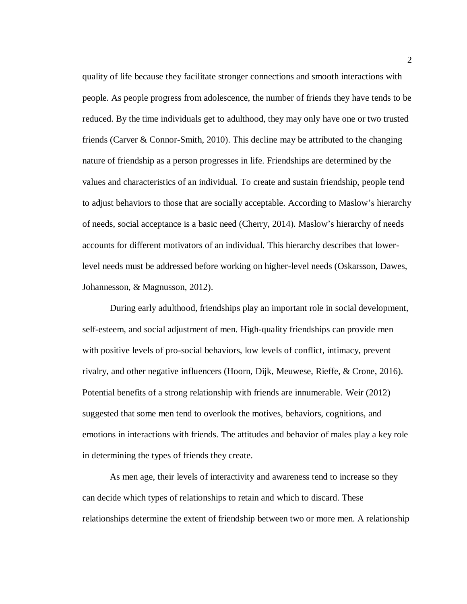quality of life because they facilitate stronger connections and smooth interactions with people. As people progress from adolescence, the number of friends they have tends to be reduced. By the time individuals get to adulthood, they may only have one or two trusted friends (Carver & Connor-Smith, 2010). This decline may be attributed to the changing nature of friendship as a person progresses in life. Friendships are determined by the values and characteristics of an individual. To create and sustain friendship, people tend to adjust behaviors to those that are socially acceptable. According to Maslow's hierarchy of needs, social acceptance is a basic need (Cherry, 2014). Maslow's hierarchy of needs accounts for different motivators of an individual. This hierarchy describes that lowerlevel needs must be addressed before working on higher-level needs (Oskarsson, Dawes, Johannesson, & Magnusson, 2012).

During early adulthood, friendships play an important role in social development, self-esteem, and social adjustment of men. High-quality friendships can provide men with positive levels of pro-social behaviors, low levels of conflict, intimacy, prevent rivalry, and other negative influencers (Hoorn, Dijk, Meuwese, Rieffe, & Crone, 2016). Potential benefits of a strong relationship with friends are innumerable. Weir (2012) suggested that some men tend to overlook the motives, behaviors, cognitions, and emotions in interactions with friends. The attitudes and behavior of males play a key role in determining the types of friends they create.

As men age, their levels of interactivity and awareness tend to increase so they can decide which types of relationships to retain and which to discard. These relationships determine the extent of friendship between two or more men. A relationship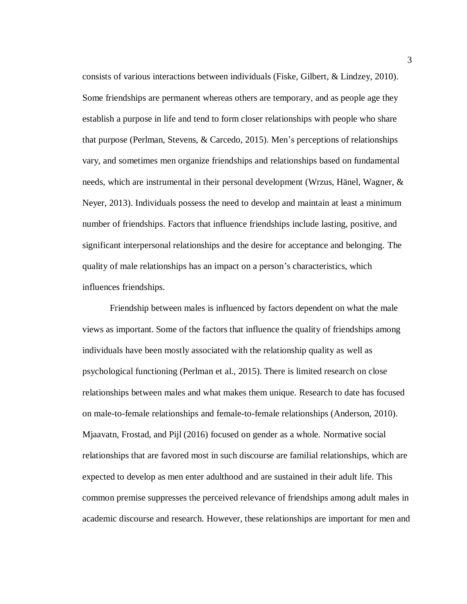consists of various interactions between individuals (Fiske, Gilbert, & Lindzey, 2010). Some friendships are permanent whereas others are temporary, and as people age they establish a purpose in life and tend to form closer relationships with people who share that purpose (Perlman, Stevens, & Carcedo, 2015). Men's perceptions of relationships vary, and sometimes men organize friendships and relationships based on fundamental needs, which are instrumental in their personal development (Wrzus, Hänel, Wagner, & Neyer, 2013). Individuals possess the need to develop and maintain at least a minimum number of friendships. Factors that influence friendships include lasting, positive, and significant interpersonal relationships and the desire for acceptance and belonging. The quality of male relationships has an impact on a person's characteristics, which influences friendships.

Friendship between males is influenced by factors dependent on what the male views as important. Some of the factors that influence the quality of friendships among individuals have been mostly associated with the relationship quality as well as psychological functioning (Perlman et al., 2015). There is limited research on close relationships between males and what makes them unique. Research to date has focused on male-to-female relationships and female-to-female relationships (Anderson, 2010). Mjaavatn, Frostad, and Pijl (2016) focused on gender as a whole. Normative social relationships that are favored most in such discourse are familial relationships, which are expected to develop as men enter adulthood and are sustained in their adult life. This common premise suppresses the perceived relevance of friendships among adult males in academic discourse and research. However, these relationships are important for men and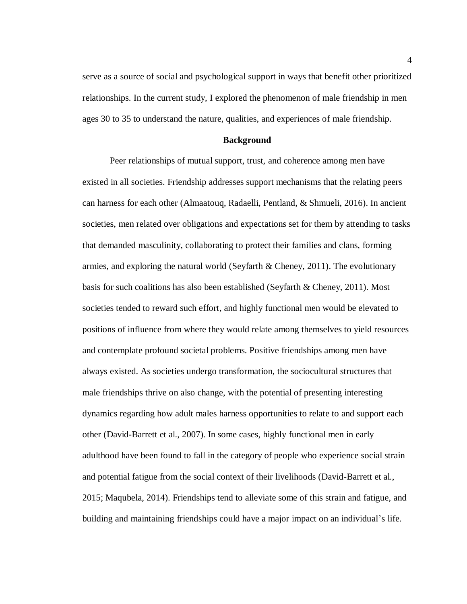serve as a source of social and psychological support in ways that benefit other prioritized relationships. In the current study, I explored the phenomenon of male friendship in men ages 30 to 35 to understand the nature, qualities, and experiences of male friendship.

#### **Background**

<span id="page-12-0"></span>Peer relationships of mutual support, trust, and coherence among men have existed in all societies. Friendship addresses support mechanisms that the relating peers can harness for each other (Almaatouq, Radaelli, Pentland, & Shmueli, 2016). In ancient societies, men related over obligations and expectations set for them by attending to tasks that demanded masculinity, collaborating to protect their families and clans, forming armies, and exploring the natural world (Seyfarth  $\&$  Cheney, 2011). The evolutionary basis for such coalitions has also been established (Seyfarth & Cheney, 2011). Most societies tended to reward such effort, and highly functional men would be elevated to positions of influence from where they would relate among themselves to yield resources and contemplate profound societal problems. Positive friendships among men have always existed. As societies undergo transformation, the sociocultural structures that male friendships thrive on also change, with the potential of presenting interesting dynamics regarding how adult males harness opportunities to relate to and support each other (David-Barrett et al., 2007). In some cases, highly functional men in early adulthood have been found to fall in the category of people who experience social strain and potential fatigue from the social context of their livelihoods (David-Barrett et al., 2015; Maqubela, 2014). Friendships tend to alleviate some of this strain and fatigue, and building and maintaining friendships could have a major impact on an individual's life.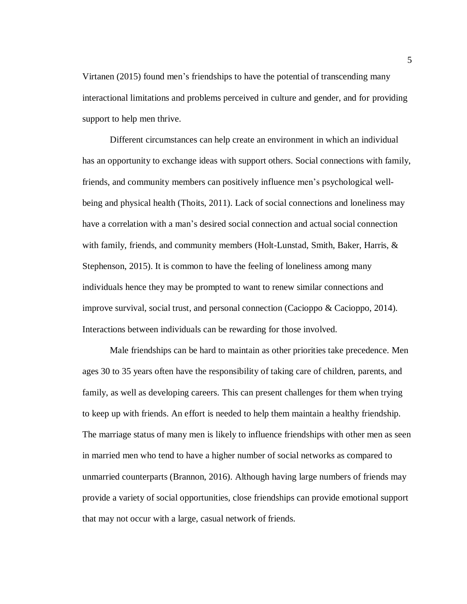Virtanen (2015) found men's friendships to have the potential of transcending many interactional limitations and problems perceived in culture and gender, and for providing support to help men thrive.

Different circumstances can help create an environment in which an individual has an opportunity to exchange ideas with support others. Social connections with family, friends, and community members can positively influence men's psychological wellbeing and physical health (Thoits, 2011). Lack of social connections and loneliness may have a correlation with a man's desired social connection and actual social connection with family, friends, and community members (Holt-Lunstad, Smith, Baker, Harris, & Stephenson, 2015). It is common to have the feeling of loneliness among many individuals hence they may be prompted to want to renew similar connections and improve survival, social trust, and personal connection (Cacioppo & Cacioppo, 2014). Interactions between individuals can be rewarding for those involved.

Male friendships can be hard to maintain as other priorities take precedence. Men ages 30 to 35 years often have the responsibility of taking care of children, parents, and family, as well as developing careers. This can present challenges for them when trying to keep up with friends. An effort is needed to help them maintain a healthy friendship. The marriage status of many men is likely to influence friendships with other men as seen in married men who tend to have a higher number of social networks as compared to unmarried counterparts (Brannon, 2016). Although having large numbers of friends may provide a variety of social opportunities, close friendships can provide emotional support that may not occur with a large, casual network of friends.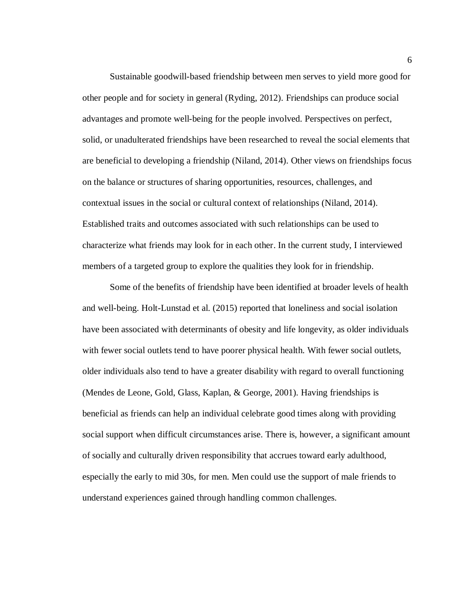Sustainable goodwill-based friendship between men serves to yield more good for other people and for society in general (Ryding, 2012). Friendships can produce social advantages and promote well-being for the people involved. Perspectives on perfect, solid, or unadulterated friendships have been researched to reveal the social elements that are beneficial to developing a friendship (Niland, 2014). Other views on friendships focus on the balance or structures of sharing opportunities, resources, challenges, and contextual issues in the social or cultural context of relationships (Niland, 2014). Established traits and outcomes associated with such relationships can be used to characterize what friends may look for in each other. In the current study, I interviewed members of a targeted group to explore the qualities they look for in friendship.

Some of the benefits of friendship have been identified at broader levels of health and well-being. Holt-Lunstad et al. (2015) reported that loneliness and social isolation have been associated with determinants of obesity and life longevity, as older individuals with fewer social outlets tend to have poorer physical health. With fewer social outlets, older individuals also tend to have a greater disability with regard to overall functioning (Mendes de Leone, Gold, Glass, Kaplan, & George, 2001). Having friendships is beneficial as friends can help an individual celebrate good times along with providing social support when difficult circumstances arise. There is, however, a significant amount of socially and culturally driven responsibility that accrues toward early adulthood, especially the early to mid 30s, for men. Men could use the support of male friends to understand experiences gained through handling common challenges.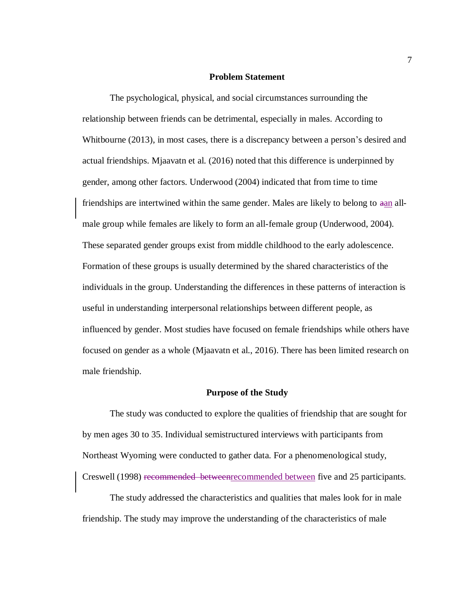#### **Problem Statement**

<span id="page-15-0"></span>The psychological, physical, and social circumstances surrounding the relationship between friends can be detrimental, especially in males. According to Whitbourne (2013), in most cases, there is a discrepancy between a person's desired and actual friendships. Mjaavatn et al. (2016) noted that this difference is underpinned by gender, among other factors. Underwood (2004) indicated that from time to time friendships are intertwined within the same gender. Males are likely to belong to aan allmale group while females are likely to form an all-female group (Underwood, 2004). These separated gender groups exist from middle childhood to the early adolescence. Formation of these groups is usually determined by the shared characteristics of the individuals in the group. Understanding the differences in these patterns of interaction is useful in understanding interpersonal relationships between different people, as influenced by gender. Most studies have focused on female friendships while others have focused on gender as a whole (Mjaavatn et al., 2016). There has been limited research on male friendship.

#### **Purpose of the Study**

<span id="page-15-1"></span>The study was conducted to explore the qualities of friendship that are sought for by men ages 30 to 35. Individual semistructured interviews with participants from Northeast Wyoming were conducted to gather data. For a phenomenological study, Creswell (1998) recommended betweenrecommended between five and 25 participants.

The study addressed the characteristics and qualities that males look for in male friendship. The study may improve the understanding of the characteristics of male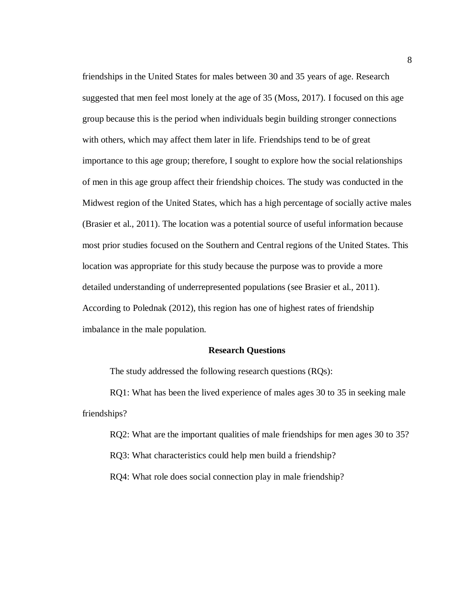friendships in the United States for males between 30 and 35 years of age. Research suggested that men feel most lonely at the age of 35 (Moss, 2017). I focused on this age group because this is the period when individuals begin building stronger connections with others, which may affect them later in life. Friendships tend to be of great importance to this age group; therefore, I sought to explore how the social relationships of men in this age group affect their friendship choices. The study was conducted in the Midwest region of the United States, which has a high percentage of socially active males (Brasier et al., 2011). The location was a potential source of useful information because most prior studies focused on the Southern and Central regions of the United States. This location was appropriate for this study because the purpose was to provide a more detailed understanding of underrepresented populations (see Brasier et al., 2011). According to Polednak (2012), this region has one of highest rates of friendship imbalance in the male population.

#### **Research Questions**

<span id="page-16-0"></span>The study addressed the following research questions (RQs):

RQ1: What has been the lived experience of males ages 30 to 35 in seeking male friendships?

RQ2: What are the important qualities of male friendships for men ages 30 to 35?

RQ3: What characteristics could help men build a friendship?

RQ4: What role does social connection play in male friendship?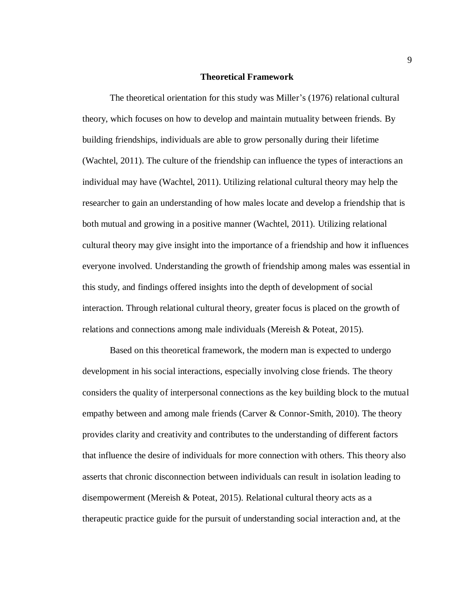#### **Theoretical Framework**

<span id="page-17-0"></span>The theoretical orientation for this study was Miller's (1976) relational cultural theory, which focuses on how to develop and maintain mutuality between friends. By building friendships, individuals are able to grow personally during their lifetime (Wachtel, 2011). The culture of the friendship can influence the types of interactions an individual may have (Wachtel, 2011). Utilizing relational cultural theory may help the researcher to gain an understanding of how males locate and develop a friendship that is both mutual and growing in a positive manner (Wachtel, 2011). Utilizing relational cultural theory may give insight into the importance of a friendship and how it influences everyone involved. Understanding the growth of friendship among males was essential in this study, and findings offered insights into the depth of development of social interaction. Through relational cultural theory, greater focus is placed on the growth of relations and connections among male individuals (Mereish & Poteat, 2015).

Based on this theoretical framework, the modern man is expected to undergo development in his social interactions, especially involving close friends. The theory considers the quality of interpersonal connections as the key building block to the mutual empathy between and among male friends (Carver & Connor-Smith, 2010). The theory provides clarity and creativity and contributes to the understanding of different factors that influence the desire of individuals for more connection with others. This theory also asserts that chronic disconnection between individuals can result in isolation leading to disempowerment (Mereish & Poteat, 2015). Relational cultural theory acts as a therapeutic practice guide for the pursuit of understanding social interaction and, at the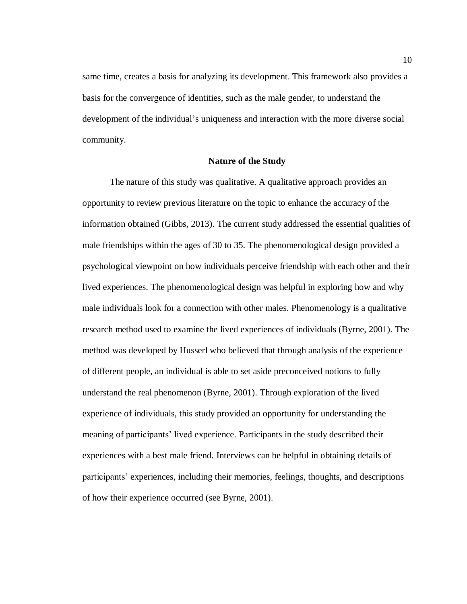same time, creates a basis for analyzing its development. This framework also provides a basis for the convergence of identities, such as the male gender, to understand the development of the individual's uniqueness and interaction with the more diverse social community.

#### **Nature of the Study**

<span id="page-18-0"></span>The nature of this study was qualitative. A qualitative approach provides an opportunity to review previous literature on the topic to enhance the accuracy of the information obtained (Gibbs, 2013). The current study addressed the essential qualities of male friendships within the ages of 30 to 35. The phenomenological design provided a psychological viewpoint on how individuals perceive friendship with each other and their lived experiences. The phenomenological design was helpful in exploring how and why male individuals look for a connection with other males. Phenomenology is a qualitative research method used to examine the lived experiences of individuals (Byrne, 2001). The method was developed by Husserl who believed that through analysis of the experience of different people, an individual is able to set aside preconceived notions to fully understand the real phenomenon (Byrne, 2001). Through exploration of the lived experience of individuals, this study provided an opportunity for understanding the meaning of participants' lived experience. Participants in the study described their experiences with a best male friend. Interviews can be helpful in obtaining details of participants' experiences, including their memories, feelings, thoughts, and descriptions of how their experience occurred (see Byrne, 2001).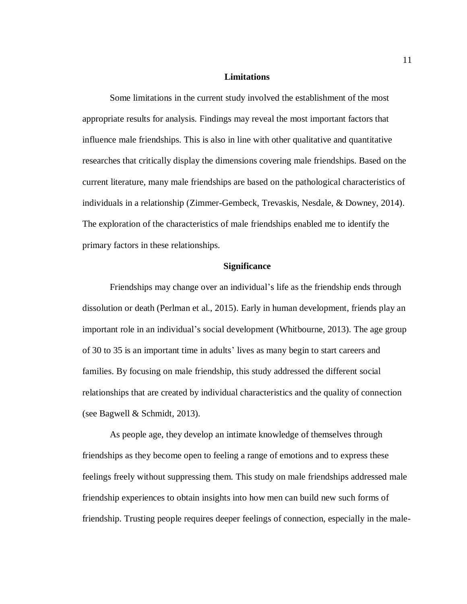#### **Limitations**

<span id="page-19-0"></span>Some limitations in the current study involved the establishment of the most appropriate results for analysis. Findings may reveal the most important factors that influence male friendships. This is also in line with other qualitative and quantitative researches that critically display the dimensions covering male friendships. Based on the current literature, many male friendships are based on the pathological characteristics of individuals in a relationship (Zimmer-Gembeck, Trevaskis, Nesdale, & Downey, 2014). The exploration of the characteristics of male friendships enabled me to identify the primary factors in these relationships.

#### **Significance**

<span id="page-19-1"></span>Friendships may change over an individual's life as the friendship ends through dissolution or death (Perlman et al., 2015). Early in human development, friends play an important role in an individual's social development (Whitbourne, 2013). The age group of 30 to 35 is an important time in adults' lives as many begin to start careers and families. By focusing on male friendship, this study addressed the different social relationships that are created by individual characteristics and the quality of connection (see Bagwell & Schmidt, 2013).

As people age, they develop an intimate knowledge of themselves through friendships as they become open to feeling a range of emotions and to express these feelings freely without suppressing them. This study on male friendships addressed male friendship experiences to obtain insights into how men can build new such forms of friendship. Trusting people requires deeper feelings of connection, especially in the male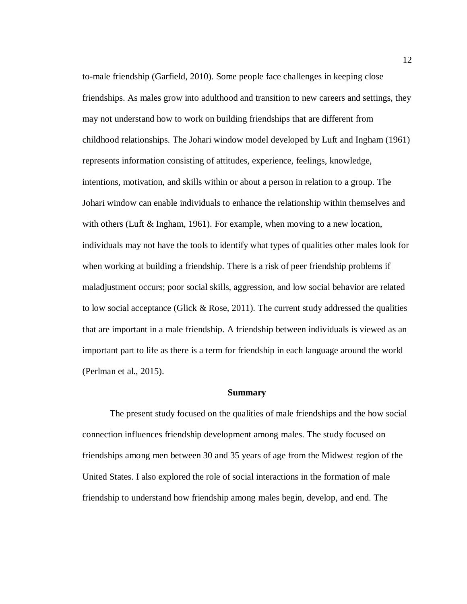to-male friendship (Garfield, 2010). Some people face challenges in keeping close friendships. As males grow into adulthood and transition to new careers and settings, they may not understand how to work on building friendships that are different from childhood relationships. The Johari window model developed by Luft and Ingham (1961) represents information consisting of attitudes, experience, feelings, knowledge, intentions, motivation, and skills within or about a person in relation to a group. The Johari window can enable individuals to enhance the relationship within themselves and with others (Luft & Ingham, 1961). For example, when moving to a new location, individuals may not have the tools to identify what types of qualities other males look for when working at building a friendship. There is a risk of peer friendship problems if maladjustment occurs; poor social skills, aggression, and low social behavior are related to low social acceptance (Glick  $\&$  Rose, 2011). The current study addressed the qualities that are important in a male friendship. A friendship between individuals is viewed as an important part to life as there is a term for friendship in each language around the world (Perlman et al., 2015).

#### **Summary**

<span id="page-20-0"></span>The present study focused on the qualities of male friendships and the how social connection influences friendship development among males. The study focused on friendships among men between 30 and 35 years of age from the Midwest region of the United States. I also explored the role of social interactions in the formation of male friendship to understand how friendship among males begin, develop, and end. The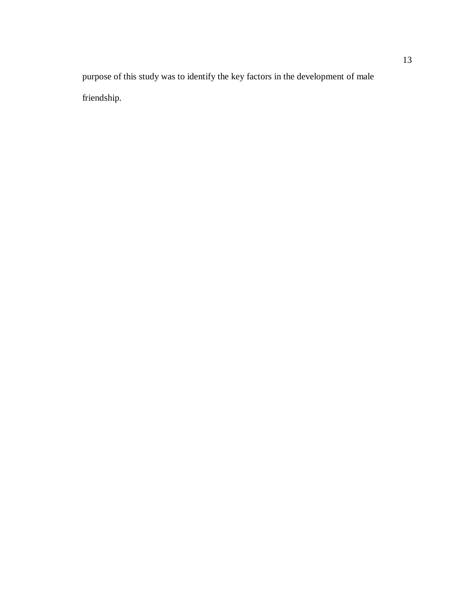purpose of this study was to identify the key factors in the development of male friendship.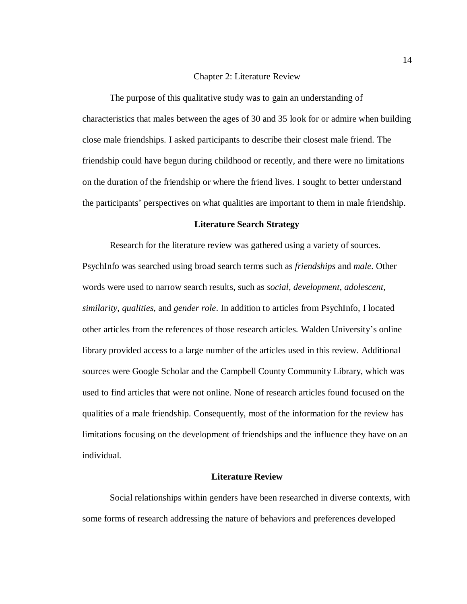#### Chapter 2: Literature Review

<span id="page-22-0"></span>The purpose of this qualitative study was to gain an understanding of characteristics that males between the ages of 30 and 35 look for or admire when building close male friendships. I asked participants to describe their closest male friend. The friendship could have begun during childhood or recently, and there were no limitations on the duration of the friendship or where the friend lives. I sought to better understand the participants' perspectives on what qualities are important to them in male friendship.

#### **Literature Search Strategy**

<span id="page-22-1"></span>Research for the literature review was gathered using a variety of sources. PsychInfo was searched using broad search terms such as *friendships* and *male*. Other words were used to narrow search results, such as *social*, *development*, *adolescent*, *similarity*, *qualities*, and *gender role*. In addition to articles from PsychInfo, I located other articles from the references of those research articles. Walden University's online library provided access to a large number of the articles used in this review. Additional sources were Google Scholar and the Campbell County Community Library, which was used to find articles that were not online. None of research articles found focused on the qualities of a male friendship. Consequently, most of the information for the review has limitations focusing on the development of friendships and the influence they have on an individual.

#### **Literature Review**

<span id="page-22-2"></span>Social relationships within genders have been researched in diverse contexts, with some forms of research addressing the nature of behaviors and preferences developed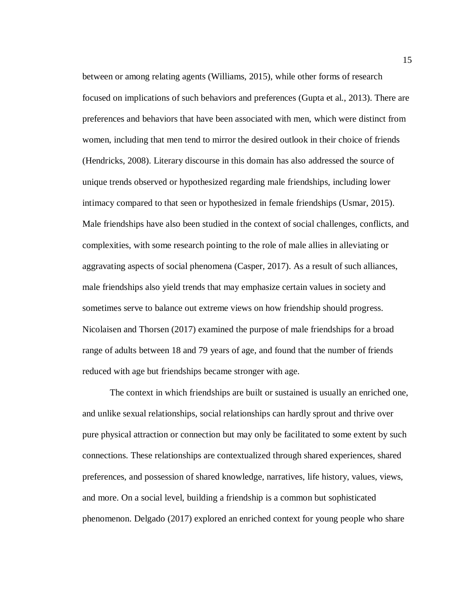between or among relating agents (Williams, 2015), while other forms of research focused on implications of such behaviors and preferences (Gupta et al., 2013). There are preferences and behaviors that have been associated with men, which were distinct from women, including that men tend to mirror the desired outlook in their choice of friends (Hendricks, 2008). Literary discourse in this domain has also addressed the source of unique trends observed or hypothesized regarding male friendships, including lower intimacy compared to that seen or hypothesized in female friendships (Usmar, 2015). Male friendships have also been studied in the context of social challenges, conflicts, and complexities, with some research pointing to the role of male allies in alleviating or aggravating aspects of social phenomena (Casper, 2017). As a result of such alliances, male friendships also yield trends that may emphasize certain values in society and sometimes serve to balance out extreme views on how friendship should progress. Nicolaisen and Thorsen (2017) examined the purpose of male friendships for a broad range of adults between 18 and 79 years of age, and found that the number of friends reduced with age but friendships became stronger with age.

The context in which friendships are built or sustained is usually an enriched one, and unlike sexual relationships, social relationships can hardly sprout and thrive over pure physical attraction or connection but may only be facilitated to some extent by such connections. These relationships are contextualized through shared experiences, shared preferences, and possession of shared knowledge, narratives, life history, values, views, and more. On a social level, building a friendship is a common but sophisticated phenomenon. Delgado (2017) explored an enriched context for young people who share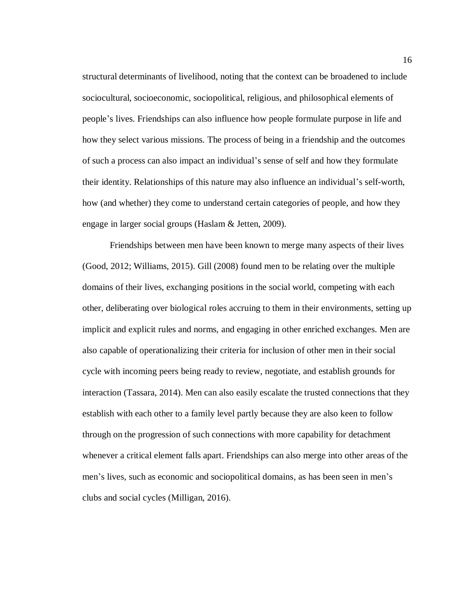structural determinants of livelihood, noting that the context can be broadened to include sociocultural, socioeconomic, sociopolitical, religious, and philosophical elements of people's lives. Friendships can also influence how people formulate purpose in life and how they select various missions. The process of being in a friendship and the outcomes of such a process can also impact an individual's sense of self and how they formulate their identity. Relationships of this nature may also influence an individual's self-worth, how (and whether) they come to understand certain categories of people, and how they engage in larger social groups (Haslam & Jetten, 2009).

Friendships between men have been known to merge many aspects of their lives (Good, 2012; Williams, 2015). Gill (2008) found men to be relating over the multiple domains of their lives, exchanging positions in the social world, competing with each other, deliberating over biological roles accruing to them in their environments, setting up implicit and explicit rules and norms, and engaging in other enriched exchanges. Men are also capable of operationalizing their criteria for inclusion of other men in their social cycle with incoming peers being ready to review, negotiate, and establish grounds for interaction (Tassara, 2014). Men can also easily escalate the trusted connections that they establish with each other to a family level partly because they are also keen to follow through on the progression of such connections with more capability for detachment whenever a critical element falls apart. Friendships can also merge into other areas of the men's lives, such as economic and sociopolitical domains, as has been seen in men's clubs and social cycles (Milligan, 2016).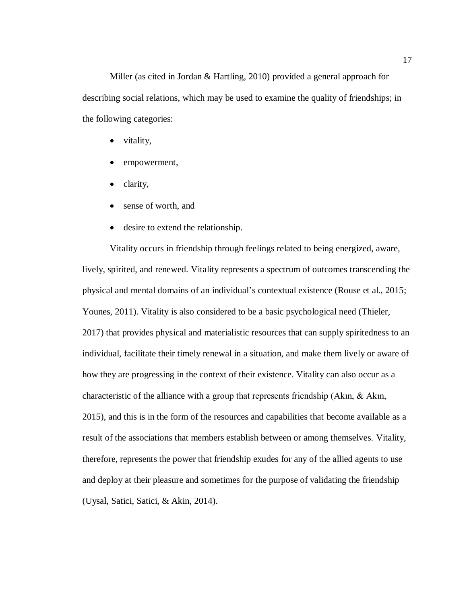Miller (as cited in Jordan & Hartling, 2010) provided a general approach for describing social relations, which may be used to examine the quality of friendships; in the following categories:

- $\bullet$  vitality,
- empowerment,
- clarity,
- sense of worth, and
- desire to extend the relationship.

Vitality occurs in friendship through feelings related to being energized, aware, lively, spirited, and renewed. Vitality represents a spectrum of outcomes transcending the physical and mental domains of an individual's contextual existence (Rouse et al., 2015; Younes, 2011). Vitality is also considered to be a basic psychological need (Thieler, 2017) that provides physical and materialistic resources that can supply spiritedness to an individual, facilitate their timely renewal in a situation, and make them lively or aware of how they are progressing in the context of their existence. Vitality can also occur as a characteristic of the alliance with a group that represents friendship (Akın, & Akın, 2015), and this is in the form of the resources and capabilities that become available as a result of the associations that members establish between or among themselves. Vitality, therefore, represents the power that friendship exudes for any of the allied agents to use and deploy at their pleasure and sometimes for the purpose of validating the friendship (Uysal, Satici, Satici, & Akin, 2014).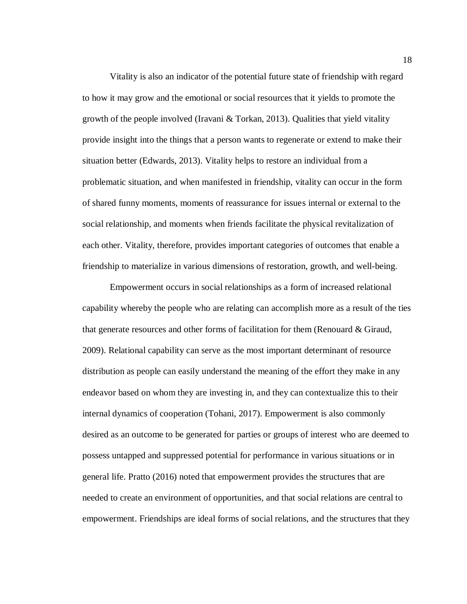Vitality is also an indicator of the potential future state of friendship with regard to how it may grow and the emotional or social resources that it yields to promote the growth of the people involved (Iravani & Torkan, 2013). Qualities that yield vitality provide insight into the things that a person wants to regenerate or extend to make their situation better (Edwards, 2013). Vitality helps to restore an individual from a problematic situation, and when manifested in friendship, vitality can occur in the form of shared funny moments, moments of reassurance for issues internal or external to the social relationship, and moments when friends facilitate the physical revitalization of each other. Vitality, therefore, provides important categories of outcomes that enable a friendship to materialize in various dimensions of restoration, growth, and well-being.

Empowerment occurs in social relationships as a form of increased relational capability whereby the people who are relating can accomplish more as a result of the ties that generate resources and other forms of facilitation for them (Renouard & Giraud, 2009). Relational capability can serve as the most important determinant of resource distribution as people can easily understand the meaning of the effort they make in any endeavor based on whom they are investing in, and they can contextualize this to their internal dynamics of cooperation (Tohani, 2017). Empowerment is also commonly desired as an outcome to be generated for parties or groups of interest who are deemed to possess untapped and suppressed potential for performance in various situations or in general life. Pratto (2016) noted that empowerment provides the structures that are needed to create an environment of opportunities, and that social relations are central to empowerment. Friendships are ideal forms of social relations, and the structures that they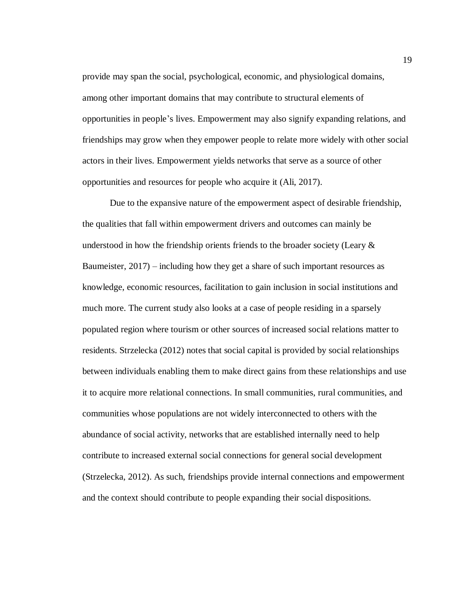provide may span the social, psychological, economic, and physiological domains, among other important domains that may contribute to structural elements of opportunities in people's lives. Empowerment may also signify expanding relations, and friendships may grow when they empower people to relate more widely with other social actors in their lives. Empowerment yields networks that serve as a source of other opportunities and resources for people who acquire it (Ali, 2017).

Due to the expansive nature of the empowerment aspect of desirable friendship, the qualities that fall within empowerment drivers and outcomes can mainly be understood in how the friendship orients friends to the broader society (Leary  $\&$ Baumeister, 2017) – including how they get a share of such important resources as knowledge, economic resources, facilitation to gain inclusion in social institutions and much more. The current study also looks at a case of people residing in a sparsely populated region where tourism or other sources of increased social relations matter to residents. Strzelecka (2012) notes that social capital is provided by social relationships between individuals enabling them to make direct gains from these relationships and use it to acquire more relational connections. In small communities, rural communities, and communities whose populations are not widely interconnected to others with the abundance of social activity, networks that are established internally need to help contribute to increased external social connections for general social development (Strzelecka, 2012). As such, friendships provide internal connections and empowerment and the context should contribute to people expanding their social dispositions.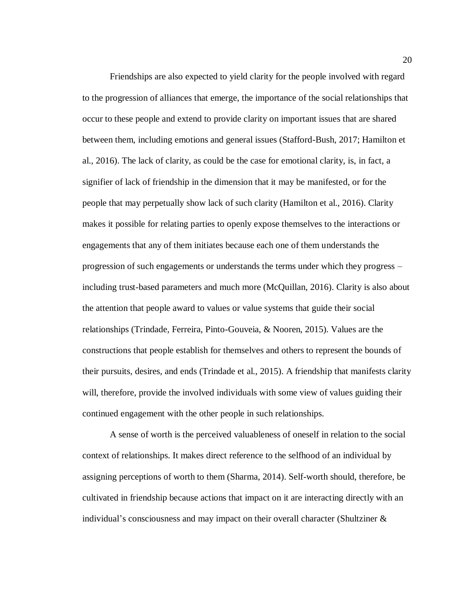Friendships are also expected to yield clarity for the people involved with regard to the progression of alliances that emerge, the importance of the social relationships that occur to these people and extend to provide clarity on important issues that are shared between them, including emotions and general issues (Stafford-Bush, 2017; Hamilton et al., 2016). The lack of clarity, as could be the case for emotional clarity, is, in fact, a signifier of lack of friendship in the dimension that it may be manifested, or for the people that may perpetually show lack of such clarity (Hamilton et al., 2016). Clarity makes it possible for relating parties to openly expose themselves to the interactions or engagements that any of them initiates because each one of them understands the progression of such engagements or understands the terms under which they progress – including trust-based parameters and much more (McQuillan, 2016). Clarity is also about the attention that people award to values or value systems that guide their social relationships (Trindade, Ferreira, Pinto-Gouveia, & Nooren, 2015). Values are the constructions that people establish for themselves and others to represent the bounds of their pursuits, desires, and ends (Trindade et al., 2015). A friendship that manifests clarity will, therefore, provide the involved individuals with some view of values guiding their continued engagement with the other people in such relationships.

A sense of worth is the perceived valuableness of oneself in relation to the social context of relationships. It makes direct reference to the selfhood of an individual by assigning perceptions of worth to them (Sharma, 2014). Self-worth should, therefore, be cultivated in friendship because actions that impact on it are interacting directly with an individual's consciousness and may impact on their overall character (Shultziner  $\&$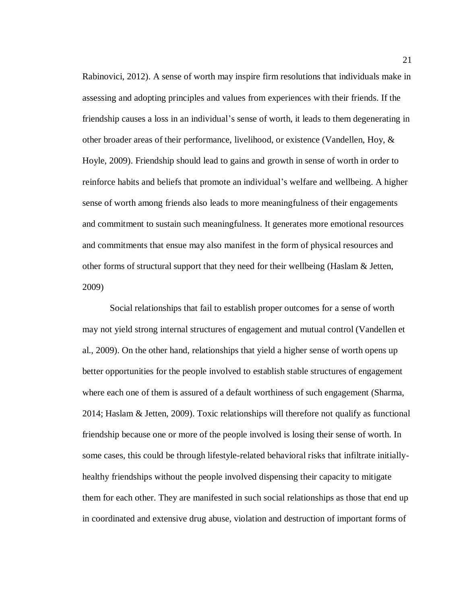Rabinovici, 2012). A sense of worth may inspire firm resolutions that individuals make in assessing and adopting principles and values from experiences with their friends. If the friendship causes a loss in an individual's sense of worth, it leads to them degenerating in other broader areas of their performance, livelihood, or existence (Vandellen, Hoy, & Hoyle, 2009). Friendship should lead to gains and growth in sense of worth in order to reinforce habits and beliefs that promote an individual's welfare and wellbeing. A higher sense of worth among friends also leads to more meaningfulness of their engagements and commitment to sustain such meaningfulness. It generates more emotional resources and commitments that ensue may also manifest in the form of physical resources and other forms of structural support that they need for their wellbeing (Haslam & Jetten, 2009)

Social relationships that fail to establish proper outcomes for a sense of worth may not yield strong internal structures of engagement and mutual control (Vandellen et al., 2009). On the other hand, relationships that yield a higher sense of worth opens up better opportunities for the people involved to establish stable structures of engagement where each one of them is assured of a default worthiness of such engagement (Sharma, 2014; Haslam & Jetten, 2009). Toxic relationships will therefore not qualify as functional friendship because one or more of the people involved is losing their sense of worth. In some cases, this could be through lifestyle-related behavioral risks that infiltrate initiallyhealthy friendships without the people involved dispensing their capacity to mitigate them for each other. They are manifested in such social relationships as those that end up in coordinated and extensive drug abuse, violation and destruction of important forms of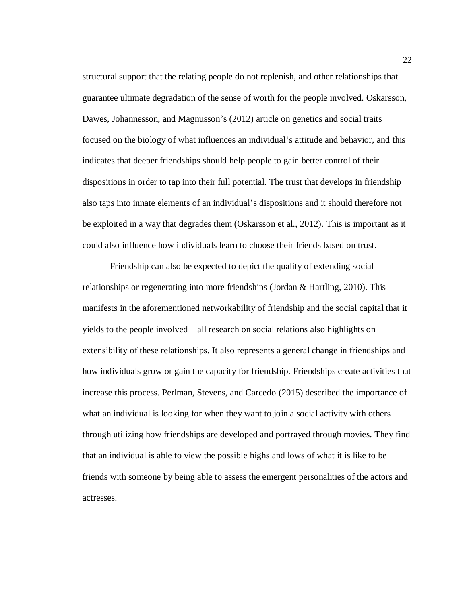structural support that the relating people do not replenish, and other relationships that guarantee ultimate degradation of the sense of worth for the people involved. Oskarsson, Dawes, Johannesson, and Magnusson's (2012) article on genetics and social traits focused on the biology of what influences an individual's attitude and behavior, and this indicates that deeper friendships should help people to gain better control of their dispositions in order to tap into their full potential. The trust that develops in friendship also taps into innate elements of an individual's dispositions and it should therefore not be exploited in a way that degrades them (Oskarsson et al., 2012). This is important as it could also influence how individuals learn to choose their friends based on trust.

Friendship can also be expected to depict the quality of extending social relationships or regenerating into more friendships (Jordan & Hartling, 2010). This manifests in the aforementioned networkability of friendship and the social capital that it yields to the people involved – all research on social relations also highlights on extensibility of these relationships. It also represents a general change in friendships and how individuals grow or gain the capacity for friendship. Friendships create activities that increase this process. Perlman, Stevens, and Carcedo (2015) described the importance of what an individual is looking for when they want to join a social activity with others through utilizing how friendships are developed and portrayed through movies. They find that an individual is able to view the possible highs and lows of what it is like to be friends with someone by being able to assess the emergent personalities of the actors and actresses.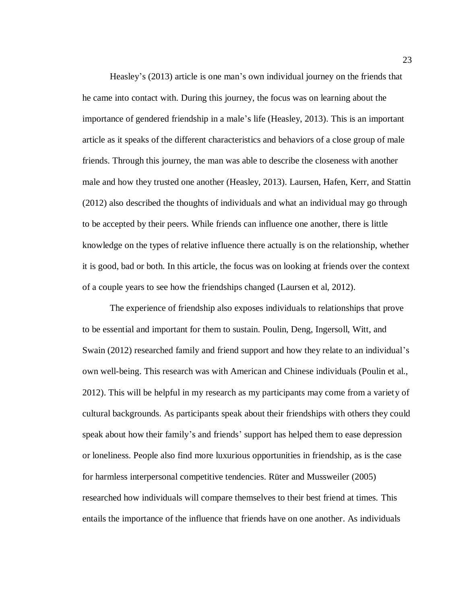Heasley's (2013) article is one man's own individual journey on the friends that he came into contact with. During this journey, the focus was on learning about the importance of gendered friendship in a male's life (Heasley, 2013). This is an important article as it speaks of the different characteristics and behaviors of a close group of male friends. Through this journey, the man was able to describe the closeness with another male and how they trusted one another (Heasley, 2013). Laursen, Hafen, Kerr, and Stattin (2012) also described the thoughts of individuals and what an individual may go through to be accepted by their peers. While friends can influence one another, there is little knowledge on the types of relative influence there actually is on the relationship, whether it is good, bad or both. In this article, the focus was on looking at friends over the context of a couple years to see how the friendships changed (Laursen et al, 2012).

The experience of friendship also exposes individuals to relationships that prove to be essential and important for them to sustain. Poulin, Deng, Ingersoll, Witt, and Swain (2012) researched family and friend support and how they relate to an individual's own well-being. This research was with American and Chinese individuals (Poulin et al., 2012). This will be helpful in my research as my participants may come from a variety of cultural backgrounds. As participants speak about their friendships with others they could speak about how their family's and friends' support has helped them to ease depression or loneliness. People also find more luxurious opportunities in friendship, as is the case for harmless interpersonal competitive tendencies. Rüter and Mussweiler (2005) researched how individuals will compare themselves to their best friend at times. This entails the importance of the influence that friends have on one another. As individuals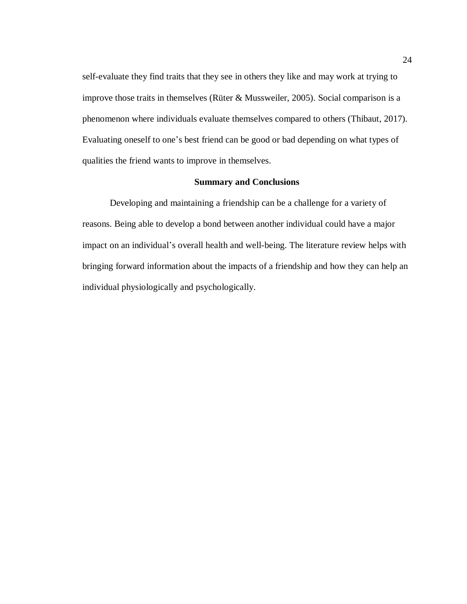self-evaluate they find traits that they see in others they like and may work at trying to improve those traits in themselves (Rüter & Mussweiler, 2005). Social comparison is a phenomenon where individuals evaluate themselves compared to others (Thibaut, 2017). Evaluating oneself to one's best friend can be good or bad depending on what types of qualities the friend wants to improve in themselves.

### **Summary and Conclusions**

<span id="page-32-0"></span>Developing and maintaining a friendship can be a challenge for a variety of reasons. Being able to develop a bond between another individual could have a major impact on an individual's overall health and well-being. The literature review helps with bringing forward information about the impacts of a friendship and how they can help an individual physiologically and psychologically.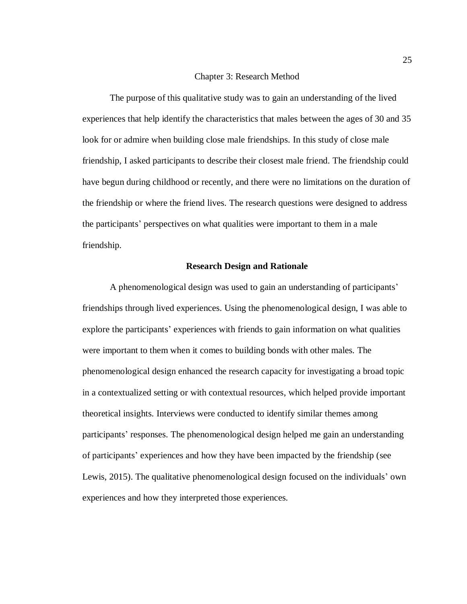#### Chapter 3: Research Method

<span id="page-33-0"></span>The purpose of this qualitative study was to gain an understanding of the lived experiences that help identify the characteristics that males between the ages of 30 and 35 look for or admire when building close male friendships. In this study of close male friendship, I asked participants to describe their closest male friend. The friendship could have begun during childhood or recently, and there were no limitations on the duration of the friendship or where the friend lives. The research questions were designed to address the participants' perspectives on what qualities were important to them in a male friendship.

#### **Research Design and Rationale**

<span id="page-33-1"></span>A phenomenological design was used to gain an understanding of participants' friendships through lived experiences. Using the phenomenological design, I was able to explore the participants' experiences with friends to gain information on what qualities were important to them when it comes to building bonds with other males. The phenomenological design enhanced the research capacity for investigating a broad topic in a contextualized setting or with contextual resources, which helped provide important theoretical insights. Interviews were conducted to identify similar themes among participants' responses. The phenomenological design helped me gain an understanding of participants' experiences and how they have been impacted by the friendship (see Lewis, 2015). The qualitative phenomenological design focused on the individuals' own experiences and how they interpreted those experiences.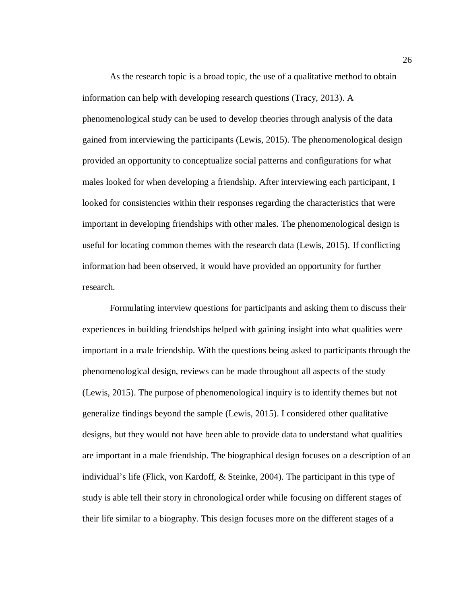As the research topic is a broad topic, the use of a qualitative method to obtain information can help with developing research questions (Tracy, 2013). A phenomenological study can be used to develop theories through analysis of the data gained from interviewing the participants (Lewis, 2015). The phenomenological design provided an opportunity to conceptualize social patterns and configurations for what males looked for when developing a friendship. After interviewing each participant, I looked for consistencies within their responses regarding the characteristics that were important in developing friendships with other males. The phenomenological design is useful for locating common themes with the research data (Lewis, 2015). If conflicting information had been observed, it would have provided an opportunity for further research.

Formulating interview questions for participants and asking them to discuss their experiences in building friendships helped with gaining insight into what qualities were important in a male friendship. With the questions being asked to participants through the phenomenological design, reviews can be made throughout all aspects of the study (Lewis, 2015). The purpose of phenomenological inquiry is to identify themes but not generalize findings beyond the sample (Lewis, 2015). I considered other qualitative designs, but they would not have been able to provide data to understand what qualities are important in a male friendship. The biographical design focuses on a description of an individual's life (Flick, von Kardoff, & Steinke, 2004). The participant in this type of study is able tell their story in chronological order while focusing on different stages of their life similar to a biography. This design focuses more on the different stages of a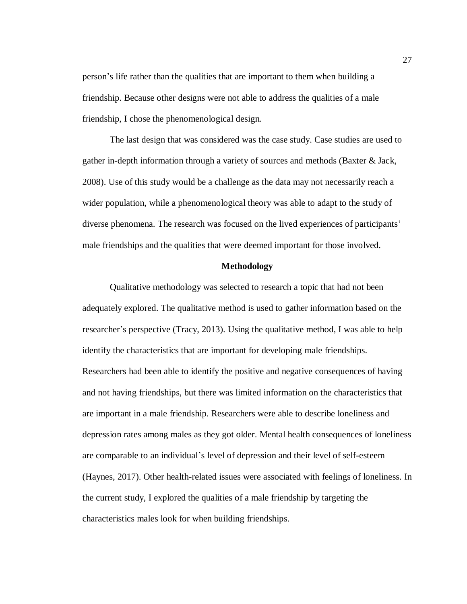person's life rather than the qualities that are important to them when building a friendship. Because other designs were not able to address the qualities of a male friendship, I chose the phenomenological design.

The last design that was considered was the case study. Case studies are used to gather in-depth information through a variety of sources and methods (Baxter & Jack, 2008). Use of this study would be a challenge as the data may not necessarily reach a wider population, while a phenomenological theory was able to adapt to the study of diverse phenomena. The research was focused on the lived experiences of participants' male friendships and the qualities that were deemed important for those involved.

#### **Methodology**

<span id="page-35-0"></span>Qualitative methodology was selected to research a topic that had not been adequately explored. The qualitative method is used to gather information based on the researcher's perspective (Tracy, 2013). Using the qualitative method, I was able to help identify the characteristics that are important for developing male friendships. Researchers had been able to identify the positive and negative consequences of having and not having friendships, but there was limited information on the characteristics that are important in a male friendship. Researchers were able to describe loneliness and depression rates among males as they got older. Mental health consequences of loneliness are comparable to an individual's level of depression and their level of self-esteem (Haynes, 2017). Other health-related issues were associated with feelings of loneliness. In the current study, I explored the qualities of a male friendship by targeting the characteristics males look for when building friendships.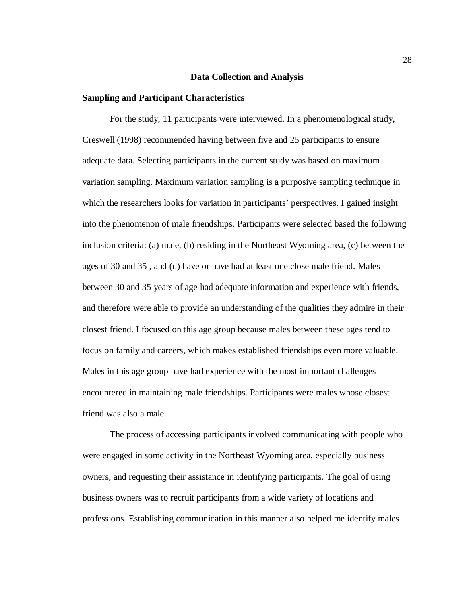## **Data Collection and Analysis**

## **Sampling and Participant Characteristics**

For the study, 11 participants were interviewed. In a phenomenological study, Creswell (1998) recommended having between five and 25 participants to ensure adequate data. Selecting participants in the current study was based on maximum variation sampling. Maximum variation sampling is a purposive sampling technique in which the researchers looks for variation in participants' perspectives. I gained insight into the phenomenon of male friendships. Participants were selected based the following inclusion criteria: (a) male, (b) residing in the Northeast Wyoming area, (c) between the ages of 30 and 35 , and (d) have or have had at least one close male friend. Males between 30 and 35 years of age had adequate information and experience with friends, and therefore were able to provide an understanding of the qualities they admire in their closest friend. I focused on this age group because males between these ages tend to focus on family and careers, which makes established friendships even more valuable. Males in this age group have had experience with the most important challenges encountered in maintaining male friendships. Participants were males whose closest friend was also a male.

The process of accessing participants involved communicating with people who were engaged in some activity in the Northeast Wyoming area, especially business owners, and requesting their assistance in identifying participants. The goal of using business owners was to recruit participants from a wide variety of locations and professions. Establishing communication in this manner also helped me identify males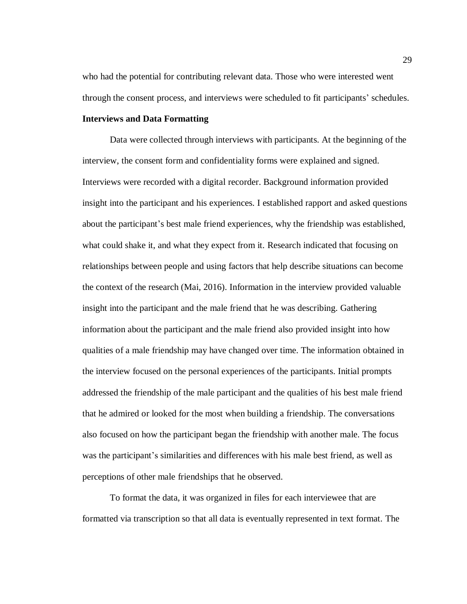who had the potential for contributing relevant data. Those who were interested went through the consent process, and interviews were scheduled to fit participants' schedules.

# **Interviews and Data Formatting**

Data were collected through interviews with participants. At the beginning of the interview, the consent form and confidentiality forms were explained and signed. Interviews were recorded with a digital recorder. Background information provided insight into the participant and his experiences. I established rapport and asked questions about the participant's best male friend experiences, why the friendship was established, what could shake it, and what they expect from it. Research indicated that focusing on relationships between people and using factors that help describe situations can become the context of the research (Mai, 2016). Information in the interview provided valuable insight into the participant and the male friend that he was describing. Gathering information about the participant and the male friend also provided insight into how qualities of a male friendship may have changed over time. The information obtained in the interview focused on the personal experiences of the participants. Initial prompts addressed the friendship of the male participant and the qualities of his best male friend that he admired or looked for the most when building a friendship. The conversations also focused on how the participant began the friendship with another male. The focus was the participant's similarities and differences with his male best friend, as well as perceptions of other male friendships that he observed.

To format the data, it was organized in files for each interviewee that are formatted via transcription so that all data is eventually represented in text format. The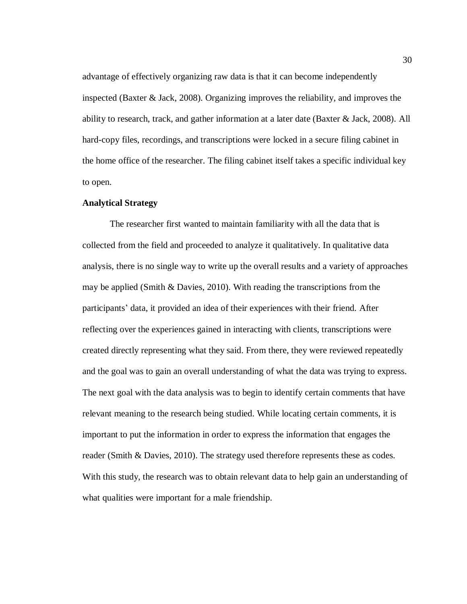advantage of effectively organizing raw data is that it can become independently inspected (Baxter & Jack, 2008). Organizing improves the reliability, and improves the ability to research, track, and gather information at a later date (Baxter & Jack, 2008). All hard-copy files, recordings, and transcriptions were locked in a secure filing cabinet in the home office of the researcher. The filing cabinet itself takes a specific individual key to open.

# **Analytical Strategy**

The researcher first wanted to maintain familiarity with all the data that is collected from the field and proceeded to analyze it qualitatively. In qualitative data analysis, there is no single way to write up the overall results and a variety of approaches may be applied (Smith  $&$  Davies, 2010). With reading the transcriptions from the participants' data, it provided an idea of their experiences with their friend. After reflecting over the experiences gained in interacting with clients, transcriptions were created directly representing what they said. From there, they were reviewed repeatedly and the goal was to gain an overall understanding of what the data was trying to express. The next goal with the data analysis was to begin to identify certain comments that have relevant meaning to the research being studied. While locating certain comments, it is important to put the information in order to express the information that engages the reader (Smith & Davies, 2010). The strategy used therefore represents these as codes. With this study, the research was to obtain relevant data to help gain an understanding of what qualities were important for a male friendship.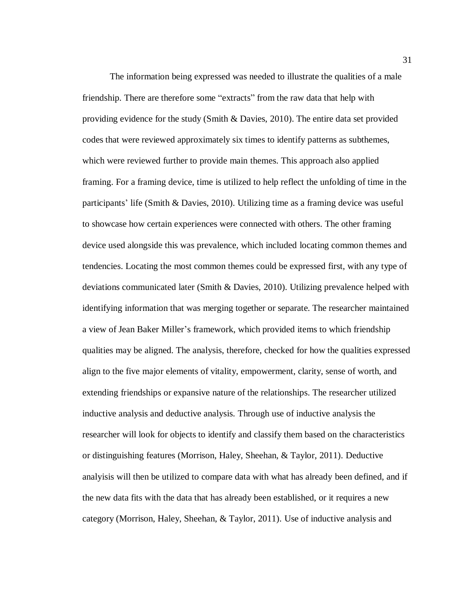The information being expressed was needed to illustrate the qualities of a male friendship. There are therefore some "extracts" from the raw data that help with providing evidence for the study (Smith & Davies, 2010). The entire data set provided codes that were reviewed approximately six times to identify patterns as subthemes, which were reviewed further to provide main themes. This approach also applied framing. For a framing device, time is utilized to help reflect the unfolding of time in the participants' life (Smith & Davies, 2010). Utilizing time as a framing device was useful to showcase how certain experiences were connected with others. The other framing device used alongside this was prevalence, which included locating common themes and tendencies. Locating the most common themes could be expressed first, with any type of deviations communicated later (Smith & Davies, 2010). Utilizing prevalence helped with identifying information that was merging together or separate. The researcher maintained a view of Jean Baker Miller's framework, which provided items to which friendship qualities may be aligned. The analysis, therefore, checked for how the qualities expressed align to the five major elements of vitality, empowerment, clarity, sense of worth, and extending friendships or expansive nature of the relationships. The researcher utilized inductive analysis and deductive analysis. Through use of inductive analysis the researcher will look for objects to identify and classify them based on the characteristics or distinguishing features (Morrison, Haley, Sheehan, & Taylor, 2011). Deductive analyisis will then be utilized to compare data with what has already been defined, and if the new data fits with the data that has already been established, or it requires a new category (Morrison, Haley, Sheehan, & Taylor, 2011). Use of inductive analysis and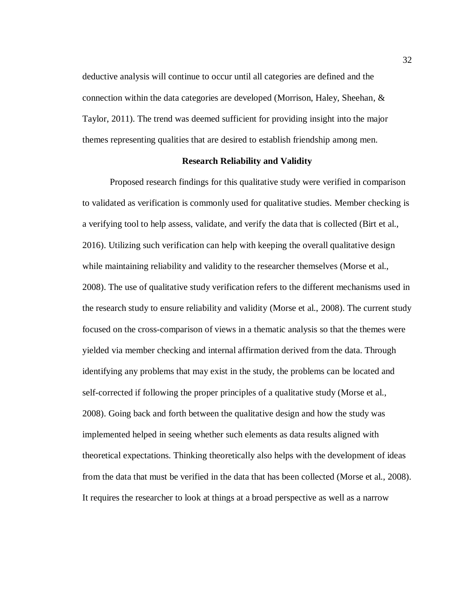deductive analysis will continue to occur until all categories are defined and the connection within the data categories are developed (Morrison, Haley, Sheehan, & Taylor, 2011). The trend was deemed sufficient for providing insight into the major themes representing qualities that are desired to establish friendship among men.

## **Research Reliability and Validity**

Proposed research findings for this qualitative study were verified in comparison to validated as verification is commonly used for qualitative studies. Member checking is a verifying tool to help assess, validate, and verify the data that is collected (Birt et al., 2016). Utilizing such verification can help with keeping the overall qualitative design while maintaining reliability and validity to the researcher themselves (Morse et al., 2008). The use of qualitative study verification refers to the different mechanisms used in the research study to ensure reliability and validity (Morse et al., 2008). The current study focused on the cross-comparison of views in a thematic analysis so that the themes were yielded via member checking and internal affirmation derived from the data. Through identifying any problems that may exist in the study, the problems can be located and self-corrected if following the proper principles of a qualitative study (Morse et al., 2008). Going back and forth between the qualitative design and how the study was implemented helped in seeing whether such elements as data results aligned with theoretical expectations. Thinking theoretically also helps with the development of ideas from the data that must be verified in the data that has been collected (Morse et al., 2008). It requires the researcher to look at things at a broad perspective as well as a narrow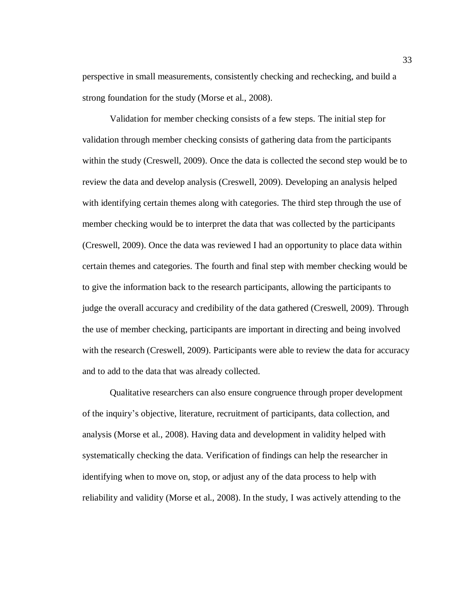perspective in small measurements, consistently checking and rechecking, and build a strong foundation for the study (Morse et al., 2008).

Validation for member checking consists of a few steps. The initial step for validation through member checking consists of gathering data from the participants within the study (Creswell, 2009). Once the data is collected the second step would be to review the data and develop analysis (Creswell, 2009). Developing an analysis helped with identifying certain themes along with categories. The third step through the use of member checking would be to interpret the data that was collected by the participants (Creswell, 2009). Once the data was reviewed I had an opportunity to place data within certain themes and categories. The fourth and final step with member checking would be to give the information back to the research participants, allowing the participants to judge the overall accuracy and credibility of the data gathered (Creswell, 2009). Through the use of member checking, participants are important in directing and being involved with the research (Creswell, 2009). Participants were able to review the data for accuracy and to add to the data that was already collected.

Qualitative researchers can also ensure congruence through proper development of the inquiry's objective, literature, recruitment of participants, data collection, and analysis (Morse et al., 2008). Having data and development in validity helped with systematically checking the data. Verification of findings can help the researcher in identifying when to move on, stop, or adjust any of the data process to help with reliability and validity (Morse et al., 2008). In the study, I was actively attending to the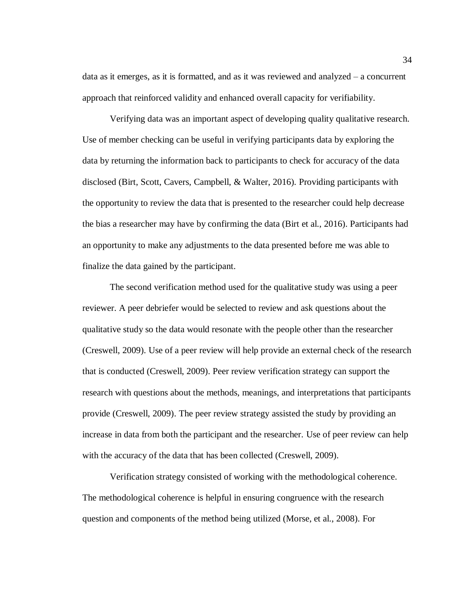data as it emerges, as it is formatted, and as it was reviewed and analyzed – a concurrent approach that reinforced validity and enhanced overall capacity for verifiability.

Verifying data was an important aspect of developing quality qualitative research. Use of member checking can be useful in verifying participants data by exploring the data by returning the information back to participants to check for accuracy of the data disclosed (Birt, Scott, Cavers, Campbell, & Walter, 2016). Providing participants with the opportunity to review the data that is presented to the researcher could help decrease the bias a researcher may have by confirming the data (Birt et al., 2016). Participants had an opportunity to make any adjustments to the data presented before me was able to finalize the data gained by the participant.

The second verification method used for the qualitative study was using a peer reviewer. A peer debriefer would be selected to review and ask questions about the qualitative study so the data would resonate with the people other than the researcher (Creswell, 2009). Use of a peer review will help provide an external check of the research that is conducted (Creswell, 2009). Peer review verification strategy can support the research with questions about the methods, meanings, and interpretations that participants provide (Creswell, 2009). The peer review strategy assisted the study by providing an increase in data from both the participant and the researcher. Use of peer review can help with the accuracy of the data that has been collected (Creswell, 2009).

Verification strategy consisted of working with the methodological coherence. The methodological coherence is helpful in ensuring congruence with the research question and components of the method being utilized (Morse, et al., 2008). For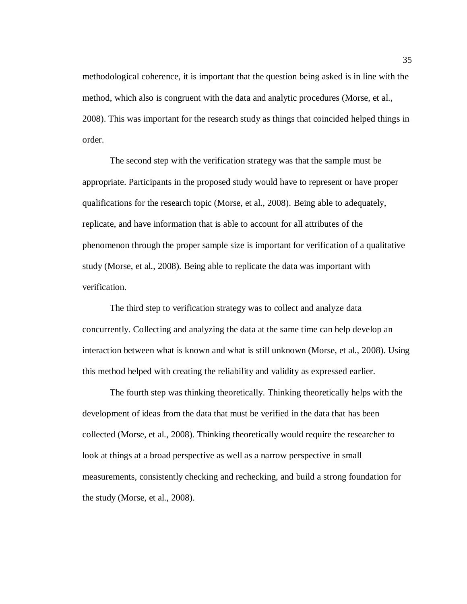methodological coherence, it is important that the question being asked is in line with the method, which also is congruent with the data and analytic procedures (Morse, et al., 2008). This was important for the research study as things that coincided helped things in order.

The second step with the verification strategy was that the sample must be appropriate. Participants in the proposed study would have to represent or have proper qualifications for the research topic (Morse, et al., 2008). Being able to adequately, replicate, and have information that is able to account for all attributes of the phenomenon through the proper sample size is important for verification of a qualitative study (Morse, et al., 2008). Being able to replicate the data was important with verification.

The third step to verification strategy was to collect and analyze data concurrently. Collecting and analyzing the data at the same time can help develop an interaction between what is known and what is still unknown (Morse, et al., 2008). Using this method helped with creating the reliability and validity as expressed earlier.

The fourth step was thinking theoretically. Thinking theoretically helps with the development of ideas from the data that must be verified in the data that has been collected (Morse, et al., 2008). Thinking theoretically would require the researcher to look at things at a broad perspective as well as a narrow perspective in small measurements, consistently checking and rechecking, and build a strong foundation for the study (Morse, et al., 2008).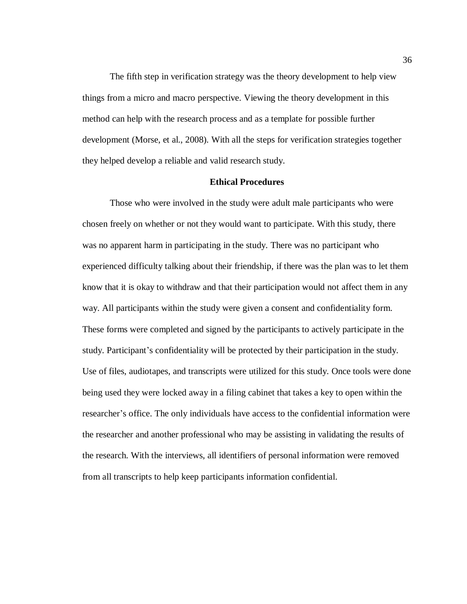The fifth step in verification strategy was the theory development to help view things from a micro and macro perspective. Viewing the theory development in this method can help with the research process and as a template for possible further development (Morse, et al., 2008). With all the steps for verification strategies together they helped develop a reliable and valid research study.

# **Ethical Procedures**

Those who were involved in the study were adult male participants who were chosen freely on whether or not they would want to participate. With this study, there was no apparent harm in participating in the study. There was no participant who experienced difficulty talking about their friendship, if there was the plan was to let them know that it is okay to withdraw and that their participation would not affect them in any way. All participants within the study were given a consent and confidentiality form. These forms were completed and signed by the participants to actively participate in the study. Participant's confidentiality will be protected by their participation in the study. Use of files, audiotapes, and transcripts were utilized for this study. Once tools were done being used they were locked away in a filing cabinet that takes a key to open within the researcher's office. The only individuals have access to the confidential information were the researcher and another professional who may be assisting in validating the results of the research. With the interviews, all identifiers of personal information were removed from all transcripts to help keep participants information confidential.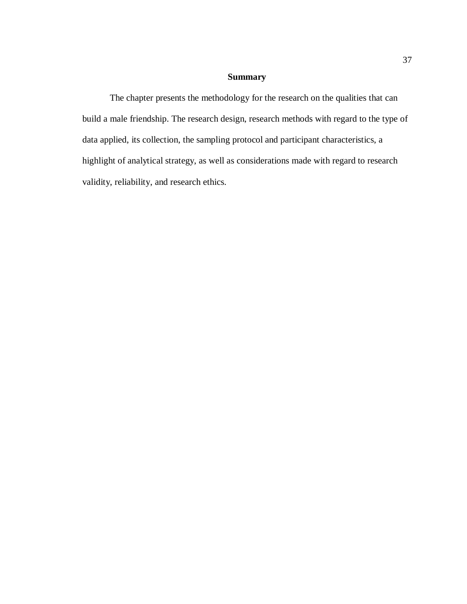# **Summary**

The chapter presents the methodology for the research on the qualities that can build a male friendship. The research design, research methods with regard to the type of data applied, its collection, the sampling protocol and participant characteristics, a highlight of analytical strategy, as well as considerations made with regard to research validity, reliability, and research ethics.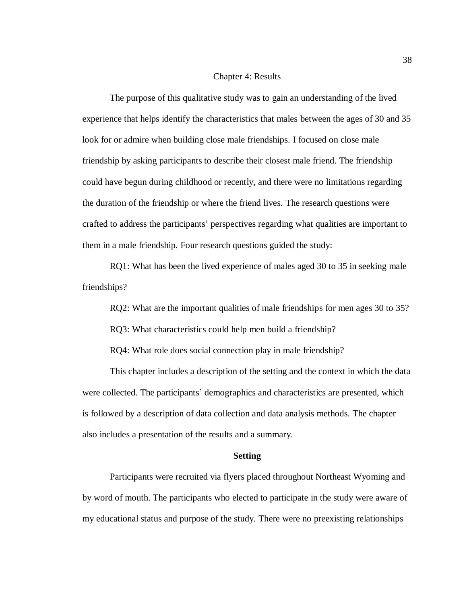#### Chapter 4: Results

The purpose of this qualitative study was to gain an understanding of the lived experience that helps identify the characteristics that males between the ages of 30 and 35 look for or admire when building close male friendships. I focused on close male friendship by asking participants to describe their closest male friend. The friendship could have begun during childhood or recently, and there were no limitations regarding the duration of the friendship or where the friend lives. The research questions were crafted to address the participants' perspectives regarding what qualities are important to them in a male friendship. Four research questions guided the study:

RQ1: What has been the lived experience of males aged 30 to 35 in seeking male friendships?

RQ2: What are the important qualities of male friendships for men ages 30 to 35?

RQ3: What characteristics could help men build a friendship?

RQ4: What role does social connection play in male friendship?

This chapter includes a description of the setting and the context in which the data were collected. The participants' demographics and characteristics are presented, which is followed by a description of data collection and data analysis methods. The chapter also includes a presentation of the results and a summary.

#### **Setting**

Participants were recruited via flyers placed throughout Northeast Wyoming and by word of mouth. The participants who elected to participate in the study were aware of my educational status and purpose of the study. There were no preexisting relationships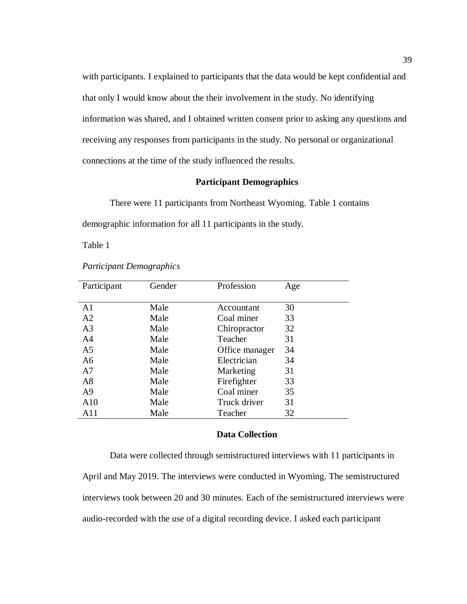with participants. I explained to participants that the data would be kept confidential and that only I would know about the their involvement in the study. No identifying information was shared, and I obtained written consent prior to asking any questions and receiving any responses from participants in the study. No personal or organizational connections at the time of the study influenced the results.

# **Participant Demographics**

There were 11 participants from Northeast Wyoming. Table 1 contains demographic information for all 11 participants in the study.

Table 1

| Participant    | Gender | Profession     | Age |
|----------------|--------|----------------|-----|
|                |        |                |     |
| A <sub>1</sub> | Male   | Accountant     | 30  |
| A2             | Male   | Coal miner     | 33  |
| A <sub>3</sub> | Male   | Chiropractor   | 32  |
| A <sub>4</sub> | Male   | Teacher        | 31  |
| A <sub>5</sub> | Male   | Office manager | 34  |
| A6             | Male   | Electrician    | 34  |
| A7             | Male   | Marketing      | 31  |
| A8             | Male   | Firefighter    | 33  |
| A <sup>9</sup> | Male   | Coal miner     | 35  |
| A10            | Male   | Truck driver   | 31  |
| A11            | Male   | Teacher        | 32  |

# *Participant Demographics*

# **Data Collection**

Data were collected through semistructured interviews with 11 participants in April and May 2019. The interviews were conducted in Wyoming. The semistructured interviews took between 20 and 30 minutes. Each of the semistructured interviews were audio-recorded with the use of a digital recording device. I asked each participant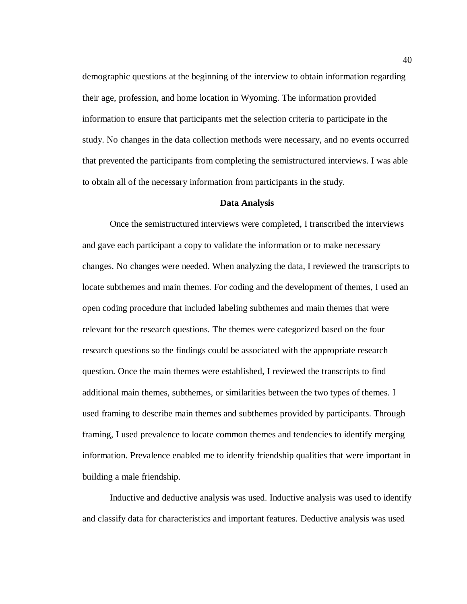demographic questions at the beginning of the interview to obtain information regarding their age, profession, and home location in Wyoming. The information provided information to ensure that participants met the selection criteria to participate in the study. No changes in the data collection methods were necessary, and no events occurred that prevented the participants from completing the semistructured interviews. I was able to obtain all of the necessary information from participants in the study.

# **Data Analysis**

Once the semistructured interviews were completed, I transcribed the interviews and gave each participant a copy to validate the information or to make necessary changes. No changes were needed. When analyzing the data, I reviewed the transcripts to locate subthemes and main themes. For coding and the development of themes, I used an open coding procedure that included labeling subthemes and main themes that were relevant for the research questions. The themes were categorized based on the four research questions so the findings could be associated with the appropriate research question. Once the main themes were established, I reviewed the transcripts to find additional main themes, subthemes, or similarities between the two types of themes. I used framing to describe main themes and subthemes provided by participants. Through framing, I used prevalence to locate common themes and tendencies to identify merging information. Prevalence enabled me to identify friendship qualities that were important in building a male friendship.

Inductive and deductive analysis was used. Inductive analysis was used to identify and classify data for characteristics and important features. Deductive analysis was used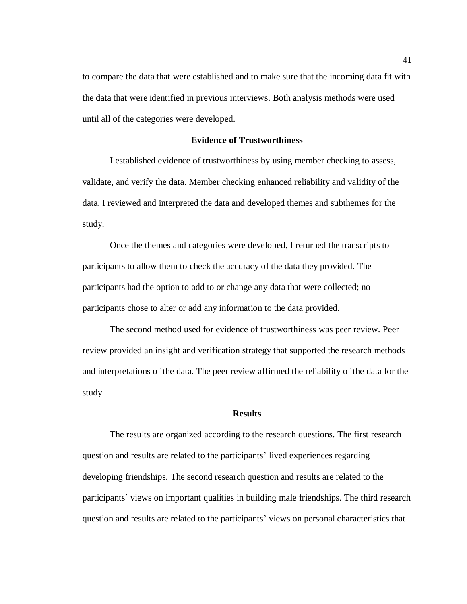to compare the data that were established and to make sure that the incoming data fit with the data that were identified in previous interviews. Both analysis methods were used until all of the categories were developed.

# **Evidence of Trustworthiness**

I established evidence of trustworthiness by using member checking to assess, validate, and verify the data. Member checking enhanced reliability and validity of the data. I reviewed and interpreted the data and developed themes and subthemes for the study.

Once the themes and categories were developed, I returned the transcripts to participants to allow them to check the accuracy of the data they provided. The participants had the option to add to or change any data that were collected; no participants chose to alter or add any information to the data provided.

The second method used for evidence of trustworthiness was peer review. Peer review provided an insight and verification strategy that supported the research methods and interpretations of the data. The peer review affirmed the reliability of the data for the study.

#### **Results**

The results are organized according to the research questions. The first research question and results are related to the participants' lived experiences regarding developing friendships. The second research question and results are related to the participants' views on important qualities in building male friendships. The third research question and results are related to the participants' views on personal characteristics that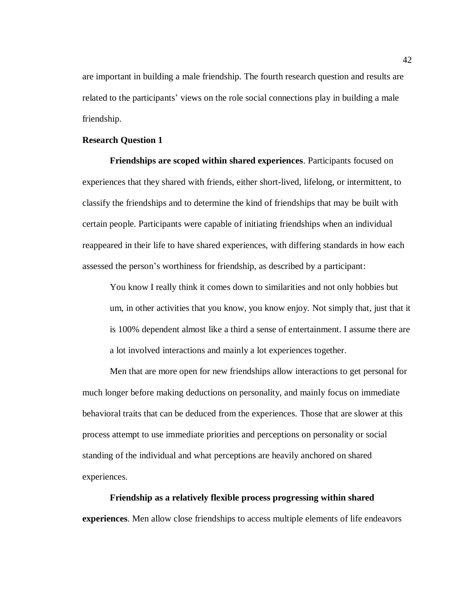are important in building a male friendship. The fourth research question and results are related to the participants' views on the role social connections play in building a male friendship.

## **Research Question 1**

**Friendships are scoped within shared experiences**. Participants focused on experiences that they shared with friends, either short-lived, lifelong, or intermittent, to classify the friendships and to determine the kind of friendships that may be built with certain people. Participants were capable of initiating friendships when an individual reappeared in their life to have shared experiences, with differing standards in how each assessed the person's worthiness for friendship, as described by a participant:

You know I really think it comes down to similarities and not only hobbies but um, in other activities that you know, you know enjoy. Not simply that, just that it is 100% dependent almost like a third a sense of entertainment. I assume there are a lot involved interactions and mainly a lot experiences together.

Men that are more open for new friendships allow interactions to get personal for much longer before making deductions on personality, and mainly focus on immediate behavioral traits that can be deduced from the experiences. Those that are slower at this process attempt to use immediate priorities and perceptions on personality or social standing of the individual and what perceptions are heavily anchored on shared experiences.

**Friendship as a relatively flexible process progressing within shared experiences**. Men allow close friendships to access multiple elements of life endeavors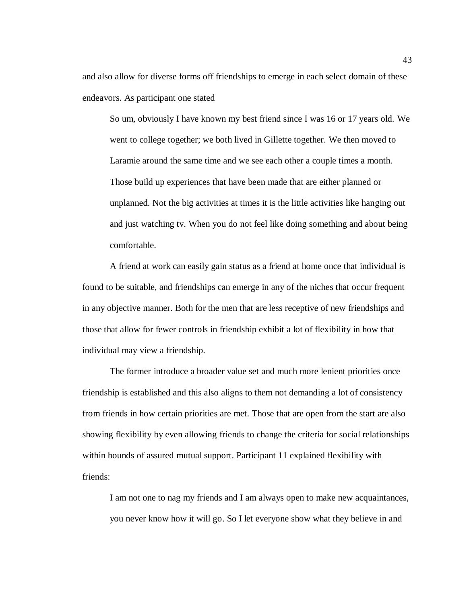and also allow for diverse forms off friendships to emerge in each select domain of these endeavors. As participant one stated

So um, obviously I have known my best friend since I was 16 or 17 years old. We went to college together; we both lived in Gillette together. We then moved to Laramie around the same time and we see each other a couple times a month. Those build up experiences that have been made that are either planned or unplanned. Not the big activities at times it is the little activities like hanging out and just watching tv. When you do not feel like doing something and about being comfortable.

A friend at work can easily gain status as a friend at home once that individual is found to be suitable, and friendships can emerge in any of the niches that occur frequent in any objective manner. Both for the men that are less receptive of new friendships and those that allow for fewer controls in friendship exhibit a lot of flexibility in how that individual may view a friendship.

The former introduce a broader value set and much more lenient priorities once friendship is established and this also aligns to them not demanding a lot of consistency from friends in how certain priorities are met. Those that are open from the start are also showing flexibility by even allowing friends to change the criteria for social relationships within bounds of assured mutual support. Participant 11 explained flexibility with friends:

I am not one to nag my friends and I am always open to make new acquaintances, you never know how it will go. So I let everyone show what they believe in and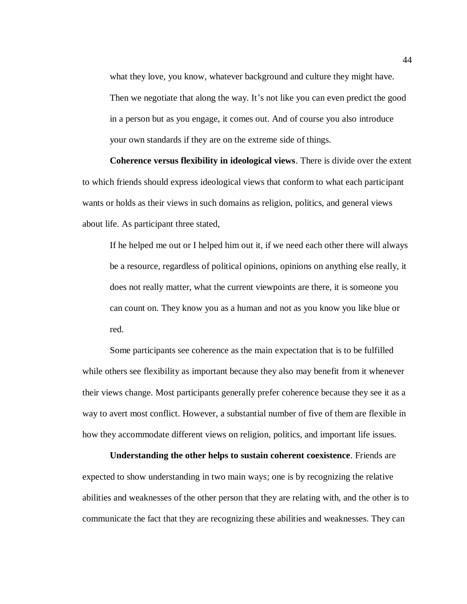what they love, you know, whatever background and culture they might have. Then we negotiate that along the way. It's not like you can even predict the good in a person but as you engage, it comes out. And of course you also introduce your own standards if they are on the extreme side of things.

**Coherence versus flexibility in ideological views**. There is divide over the extent to which friends should express ideological views that conform to what each participant wants or holds as their views in such domains as religion, politics, and general views about life. As participant three stated,

If he helped me out or I helped him out it, if we need each other there will always be a resource, regardless of political opinions, opinions on anything else really, it does not really matter, what the current viewpoints are there, it is someone you can count on. They know you as a human and not as you know you like blue or red.

Some participants see coherence as the main expectation that is to be fulfilled while others see flexibility as important because they also may benefit from it whenever their views change. Most participants generally prefer coherence because they see it as a way to avert most conflict. However, a substantial number of five of them are flexible in how they accommodate different views on religion, politics, and important life issues.

**Understanding the other helps to sustain coherent coexistence**. Friends are expected to show understanding in two main ways; one is by recognizing the relative abilities and weaknesses of the other person that they are relating with, and the other is to communicate the fact that they are recognizing these abilities and weaknesses. They can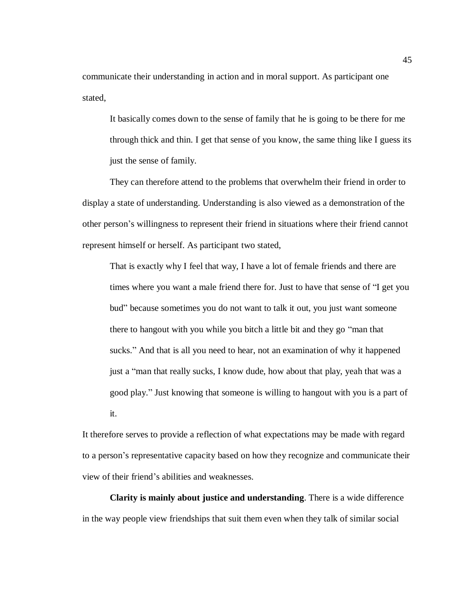communicate their understanding in action and in moral support. As participant one stated,

It basically comes down to the sense of family that he is going to be there for me through thick and thin. I get that sense of you know, the same thing like I guess its just the sense of family.

They can therefore attend to the problems that overwhelm their friend in order to display a state of understanding. Understanding is also viewed as a demonstration of the other person's willingness to represent their friend in situations where their friend cannot represent himself or herself. As participant two stated,

That is exactly why I feel that way, I have a lot of female friends and there are times where you want a male friend there for. Just to have that sense of "I get you bud" because sometimes you do not want to talk it out, you just want someone there to hangout with you while you bitch a little bit and they go "man that sucks." And that is all you need to hear, not an examination of why it happened just a "man that really sucks, I know dude, how about that play, yeah that was a good play." Just knowing that someone is willing to hangout with you is a part of it.

It therefore serves to provide a reflection of what expectations may be made with regard to a person's representative capacity based on how they recognize and communicate their view of their friend's abilities and weaknesses.

**Clarity is mainly about justice and understanding**. There is a wide difference in the way people view friendships that suit them even when they talk of similar social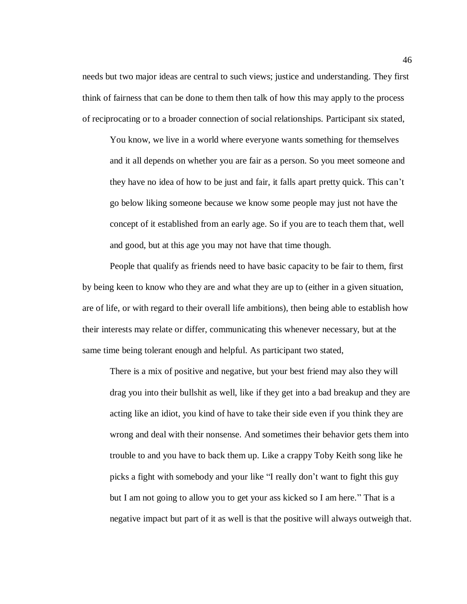needs but two major ideas are central to such views; justice and understanding. They first think of fairness that can be done to them then talk of how this may apply to the process of reciprocating or to a broader connection of social relationships. Participant six stated,

You know, we live in a world where everyone wants something for themselves and it all depends on whether you are fair as a person. So you meet someone and they have no idea of how to be just and fair, it falls apart pretty quick. This can't go below liking someone because we know some people may just not have the concept of it established from an early age. So if you are to teach them that, well and good, but at this age you may not have that time though.

People that qualify as friends need to have basic capacity to be fair to them, first by being keen to know who they are and what they are up to (either in a given situation, are of life, or with regard to their overall life ambitions), then being able to establish how their interests may relate or differ, communicating this whenever necessary, but at the same time being tolerant enough and helpful. As participant two stated,

There is a mix of positive and negative, but your best friend may also they will drag you into their bullshit as well, like if they get into a bad breakup and they are acting like an idiot, you kind of have to take their side even if you think they are wrong and deal with their nonsense. And sometimes their behavior gets them into trouble to and you have to back them up. Like a crappy Toby Keith song like he picks a fight with somebody and your like "I really don't want to fight this guy but I am not going to allow you to get your ass kicked so I am here." That is a negative impact but part of it as well is that the positive will always outweigh that.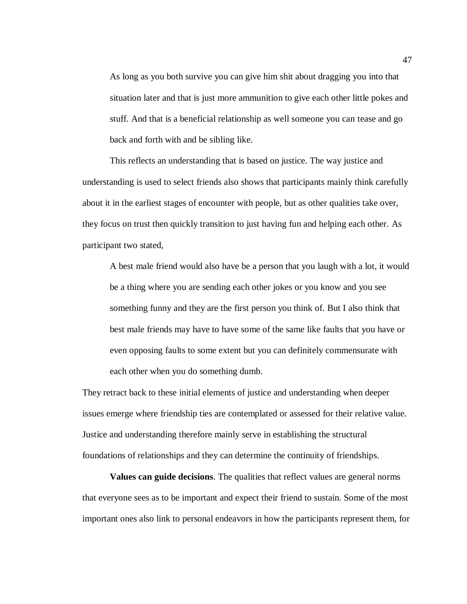As long as you both survive you can give him shit about dragging you into that situation later and that is just more ammunition to give each other little pokes and stuff. And that is a beneficial relationship as well someone you can tease and go back and forth with and be sibling like.

This reflects an understanding that is based on justice. The way justice and understanding is used to select friends also shows that participants mainly think carefully about it in the earliest stages of encounter with people, but as other qualities take over, they focus on trust then quickly transition to just having fun and helping each other. As participant two stated,

A best male friend would also have be a person that you laugh with a lot, it would be a thing where you are sending each other jokes or you know and you see something funny and they are the first person you think of. But I also think that best male friends may have to have some of the same like faults that you have or even opposing faults to some extent but you can definitely commensurate with each other when you do something dumb.

They retract back to these initial elements of justice and understanding when deeper issues emerge where friendship ties are contemplated or assessed for their relative value. Justice and understanding therefore mainly serve in establishing the structural foundations of relationships and they can determine the continuity of friendships.

**Values can guide decisions**. The qualities that reflect values are general norms that everyone sees as to be important and expect their friend to sustain. Some of the most important ones also link to personal endeavors in how the participants represent them, for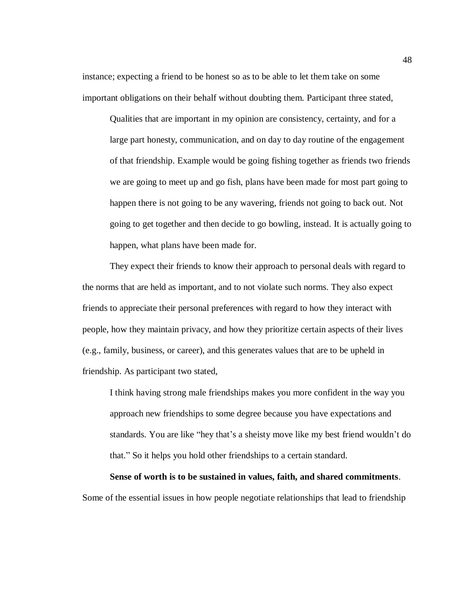instance; expecting a friend to be honest so as to be able to let them take on some important obligations on their behalf without doubting them. Participant three stated,

Qualities that are important in my opinion are consistency, certainty, and for a large part honesty, communication, and on day to day routine of the engagement of that friendship. Example would be going fishing together as friends two friends we are going to meet up and go fish, plans have been made for most part going to happen there is not going to be any wavering, friends not going to back out. Not going to get together and then decide to go bowling, instead. It is actually going to happen, what plans have been made for.

They expect their friends to know their approach to personal deals with regard to the norms that are held as important, and to not violate such norms. They also expect friends to appreciate their personal preferences with regard to how they interact with people, how they maintain privacy, and how they prioritize certain aspects of their lives (e.g., family, business, or career), and this generates values that are to be upheld in friendship. As participant two stated,

I think having strong male friendships makes you more confident in the way you approach new friendships to some degree because you have expectations and standards. You are like "hey that's a sheisty move like my best friend wouldn't do that." So it helps you hold other friendships to a certain standard.

**Sense of worth is to be sustained in values, faith, and shared commitments**.

Some of the essential issues in how people negotiate relationships that lead to friendship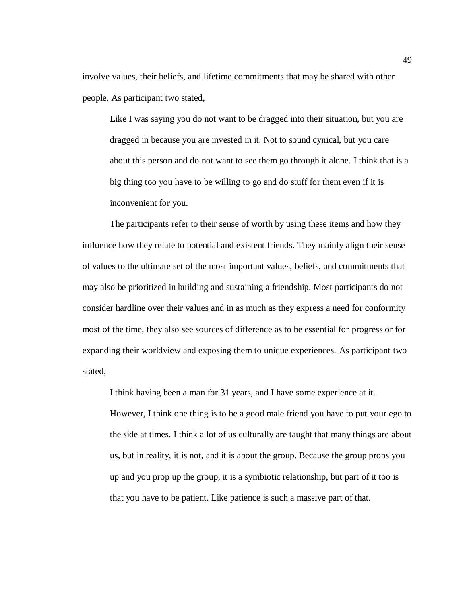involve values, their beliefs, and lifetime commitments that may be shared with other people. As participant two stated,

Like I was saying you do not want to be dragged into their situation, but you are dragged in because you are invested in it. Not to sound cynical, but you care about this person and do not want to see them go through it alone. I think that is a big thing too you have to be willing to go and do stuff for them even if it is inconvenient for you.

The participants refer to their sense of worth by using these items and how they influence how they relate to potential and existent friends. They mainly align their sense of values to the ultimate set of the most important values, beliefs, and commitments that may also be prioritized in building and sustaining a friendship. Most participants do not consider hardline over their values and in as much as they express a need for conformity most of the time, they also see sources of difference as to be essential for progress or for expanding their worldview and exposing them to unique experiences. As participant two stated,

I think having been a man for 31 years, and I have some experience at it.

However, I think one thing is to be a good male friend you have to put your ego to the side at times. I think a lot of us culturally are taught that many things are about us, but in reality, it is not, and it is about the group. Because the group props you up and you prop up the group, it is a symbiotic relationship, but part of it too is that you have to be patient. Like patience is such a massive part of that.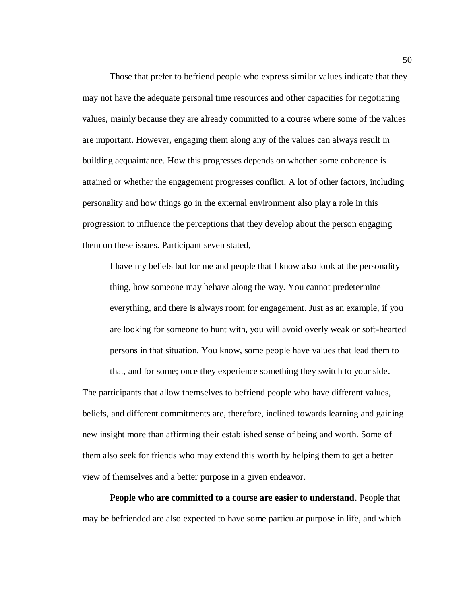Those that prefer to befriend people who express similar values indicate that they may not have the adequate personal time resources and other capacities for negotiating values, mainly because they are already committed to a course where some of the values are important. However, engaging them along any of the values can always result in building acquaintance. How this progresses depends on whether some coherence is attained or whether the engagement progresses conflict. A lot of other factors, including personality and how things go in the external environment also play a role in this progression to influence the perceptions that they develop about the person engaging them on these issues. Participant seven stated,

I have my beliefs but for me and people that I know also look at the personality thing, how someone may behave along the way. You cannot predetermine everything, and there is always room for engagement. Just as an example, if you are looking for someone to hunt with, you will avoid overly weak or soft-hearted persons in that situation. You know, some people have values that lead them to that, and for some; once they experience something they switch to your side.

The participants that allow themselves to befriend people who have different values, beliefs, and different commitments are, therefore, inclined towards learning and gaining new insight more than affirming their established sense of being and worth. Some of them also seek for friends who may extend this worth by helping them to get a better view of themselves and a better purpose in a given endeavor.

**People who are committed to a course are easier to understand**. People that may be befriended are also expected to have some particular purpose in life, and which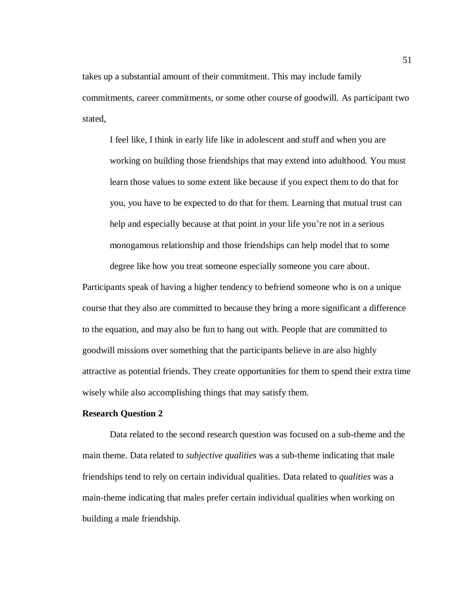takes up a substantial amount of their commitment. This may include family commitments, career commitments, or some other course of goodwill. As participant two stated,

I feel like, I think in early life like in adolescent and stuff and when you are working on building those friendships that may extend into adulthood. You must learn those values to some extent like because if you expect them to do that for you, you have to be expected to do that for them. Learning that mutual trust can help and especially because at that point in your life you're not in a serious monogamous relationship and those friendships can help model that to some

Participants speak of having a higher tendency to befriend someone who is on a unique course that they also are committed to because they bring a more significant a difference to the equation, and may also be fun to hang out with. People that are committed to goodwill missions over something that the participants believe in are also highly attractive as potential friends. They create opportunities for them to spend their extra time wisely while also accomplishing things that may satisfy them.

degree like how you treat someone especially someone you care about.

## **Research Question 2**

Data related to the second research question was focused on a sub-theme and the main theme. Data related to *subjective qualities* was a sub-theme indicating that male friendships tend to rely on certain individual qualities. Data related to *qualities* was a main-theme indicating that males prefer certain individual qualities when working on building a male friendship.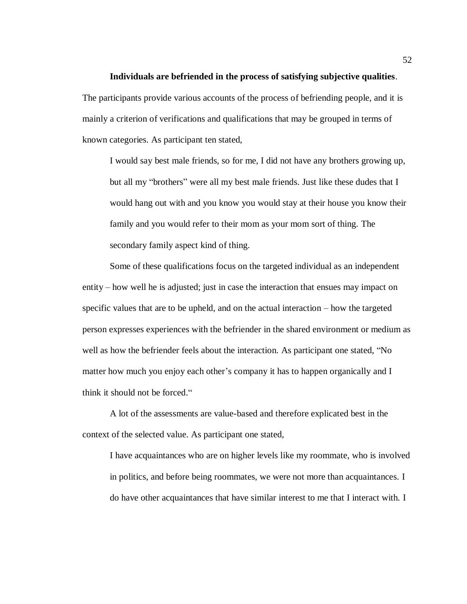## **Individuals are befriended in the process of satisfying subjective qualities**.

The participants provide various accounts of the process of befriending people, and it is mainly a criterion of verifications and qualifications that may be grouped in terms of known categories. As participant ten stated,

I would say best male friends, so for me, I did not have any brothers growing up, but all my "brothers" were all my best male friends. Just like these dudes that I would hang out with and you know you would stay at their house you know their family and you would refer to their mom as your mom sort of thing. The secondary family aspect kind of thing.

Some of these qualifications focus on the targeted individual as an independent entity – how well he is adjusted; just in case the interaction that ensues may impact on specific values that are to be upheld, and on the actual interaction – how the targeted person expresses experiences with the befriender in the shared environment or medium as well as how the befriender feels about the interaction. As participant one stated, "No matter how much you enjoy each other's company it has to happen organically and I think it should not be forced."

A lot of the assessments are value-based and therefore explicated best in the context of the selected value. As participant one stated,

I have acquaintances who are on higher levels like my roommate, who is involved in politics, and before being roommates, we were not more than acquaintances. I do have other acquaintances that have similar interest to me that I interact with. I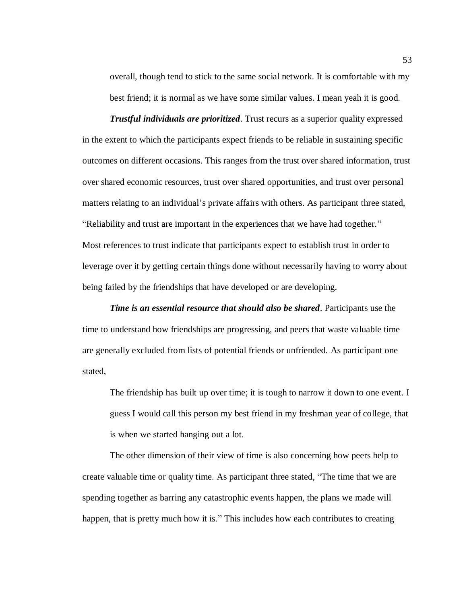overall, though tend to stick to the same social network. It is comfortable with my best friend; it is normal as we have some similar values. I mean yeah it is good.

*Trustful individuals are prioritized*. Trust recurs as a superior quality expressed in the extent to which the participants expect friends to be reliable in sustaining specific outcomes on different occasions. This ranges from the trust over shared information, trust over shared economic resources, trust over shared opportunities, and trust over personal matters relating to an individual's private affairs with others. As participant three stated, "Reliability and trust are important in the experiences that we have had together." Most references to trust indicate that participants expect to establish trust in order to leverage over it by getting certain things done without necessarily having to worry about being failed by the friendships that have developed or are developing.

*Time is an essential resource that should also be shared*. Participants use the time to understand how friendships are progressing, and peers that waste valuable time are generally excluded from lists of potential friends or unfriended. As participant one stated,

The friendship has built up over time; it is tough to narrow it down to one event. I guess I would call this person my best friend in my freshman year of college, that is when we started hanging out a lot.

The other dimension of their view of time is also concerning how peers help to create valuable time or quality time. As participant three stated, "The time that we are spending together as barring any catastrophic events happen, the plans we made will happen, that is pretty much how it is." This includes how each contributes to creating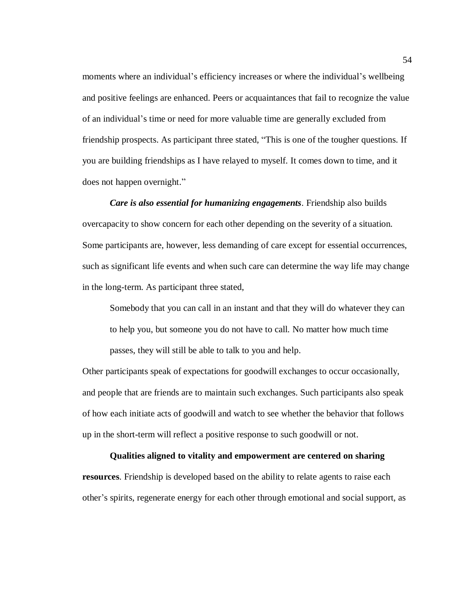moments where an individual's efficiency increases or where the individual's wellbeing and positive feelings are enhanced. Peers or acquaintances that fail to recognize the value of an individual's time or need for more valuable time are generally excluded from friendship prospects. As participant three stated, "This is one of the tougher questions. If you are building friendships as I have relayed to myself. It comes down to time, and it does not happen overnight."

*Care is also essential for humanizing engagements*. Friendship also builds overcapacity to show concern for each other depending on the severity of a situation. Some participants are, however, less demanding of care except for essential occurrences, such as significant life events and when such care can determine the way life may change in the long-term. As participant three stated,

Somebody that you can call in an instant and that they will do whatever they can to help you, but someone you do not have to call. No matter how much time passes, they will still be able to talk to you and help.

Other participants speak of expectations for goodwill exchanges to occur occasionally, and people that are friends are to maintain such exchanges. Such participants also speak of how each initiate acts of goodwill and watch to see whether the behavior that follows up in the short-term will reflect a positive response to such goodwill or not.

**Qualities aligned to vitality and empowerment are centered on sharing resources**. Friendship is developed based on the ability to relate agents to raise each other's spirits, regenerate energy for each other through emotional and social support, as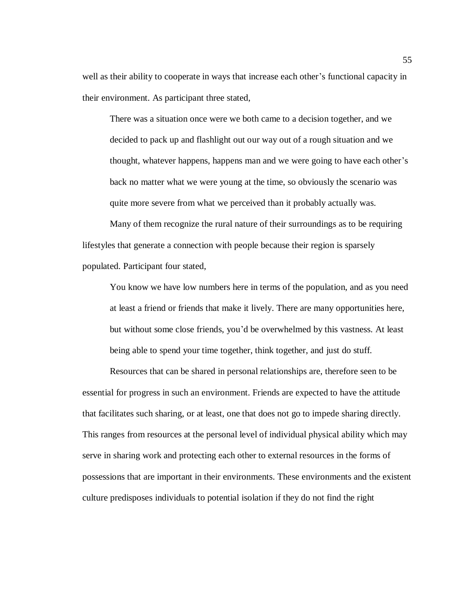well as their ability to cooperate in ways that increase each other's functional capacity in their environment. As participant three stated,

There was a situation once were we both came to a decision together, and we decided to pack up and flashlight out our way out of a rough situation and we thought, whatever happens, happens man and we were going to have each other's back no matter what we were young at the time, so obviously the scenario was quite more severe from what we perceived than it probably actually was.

Many of them recognize the rural nature of their surroundings as to be requiring lifestyles that generate a connection with people because their region is sparsely populated. Participant four stated,

You know we have low numbers here in terms of the population, and as you need at least a friend or friends that make it lively. There are many opportunities here, but without some close friends, you'd be overwhelmed by this vastness. At least being able to spend your time together, think together, and just do stuff.

Resources that can be shared in personal relationships are, therefore seen to be essential for progress in such an environment. Friends are expected to have the attitude that facilitates such sharing, or at least, one that does not go to impede sharing directly. This ranges from resources at the personal level of individual physical ability which may serve in sharing work and protecting each other to external resources in the forms of possessions that are important in their environments. These environments and the existent culture predisposes individuals to potential isolation if they do not find the right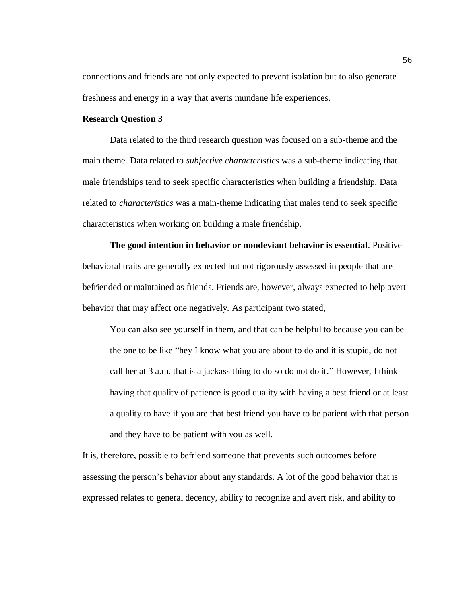connections and friends are not only expected to prevent isolation but to also generate freshness and energy in a way that averts mundane life experiences.

## **Research Question 3**

Data related to the third research question was focused on a sub-theme and the main theme. Data related to *subjective characteristics* was a sub-theme indicating that male friendships tend to seek specific characteristics when building a friendship. Data related to *characteristics* was a main-theme indicating that males tend to seek specific characteristics when working on building a male friendship.

**The good intention in behavior or nondeviant behavior is essential**. Positive behavioral traits are generally expected but not rigorously assessed in people that are befriended or maintained as friends. Friends are, however, always expected to help avert behavior that may affect one negatively. As participant two stated,

You can also see yourself in them, and that can be helpful to because you can be the one to be like "hey I know what you are about to do and it is stupid, do not call her at 3 a.m. that is a jackass thing to do so do not do it." However, I think having that quality of patience is good quality with having a best friend or at least a quality to have if you are that best friend you have to be patient with that person and they have to be patient with you as well.

It is, therefore, possible to befriend someone that prevents such outcomes before assessing the person's behavior about any standards. A lot of the good behavior that is expressed relates to general decency, ability to recognize and avert risk, and ability to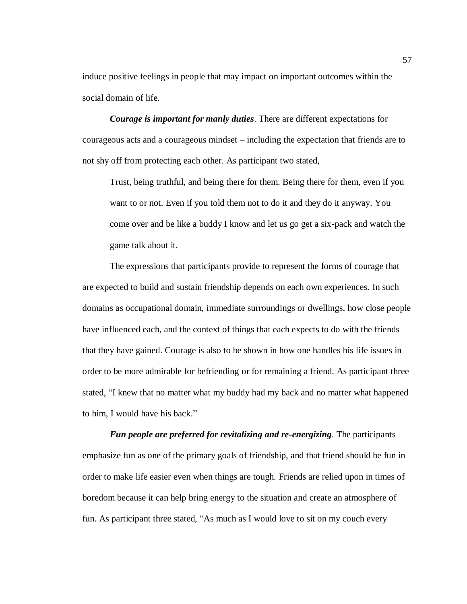induce positive feelings in people that may impact on important outcomes within the social domain of life.

*Courage is important for manly duties*. There are different expectations for courageous acts and a courageous mindset – including the expectation that friends are to not shy off from protecting each other. As participant two stated,

Trust, being truthful, and being there for them. Being there for them, even if you want to or not. Even if you told them not to do it and they do it anyway. You come over and be like a buddy I know and let us go get a six-pack and watch the game talk about it.

The expressions that participants provide to represent the forms of courage that are expected to build and sustain friendship depends on each own experiences. In such domains as occupational domain, immediate surroundings or dwellings, how close people have influenced each, and the context of things that each expects to do with the friends that they have gained. Courage is also to be shown in how one handles his life issues in order to be more admirable for befriending or for remaining a friend. As participant three stated, "I knew that no matter what my buddy had my back and no matter what happened to him, I would have his back."

*Fun people are preferred for revitalizing and re-energizing*. The participants emphasize fun as one of the primary goals of friendship, and that friend should be fun in order to make life easier even when things are tough. Friends are relied upon in times of boredom because it can help bring energy to the situation and create an atmosphere of fun. As participant three stated, "As much as I would love to sit on my couch every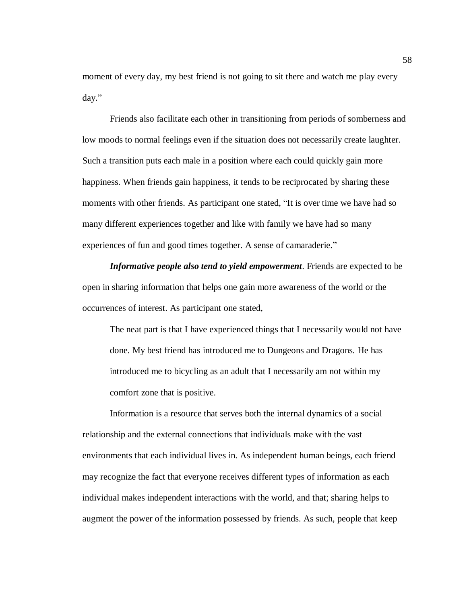moment of every day, my best friend is not going to sit there and watch me play every day."

Friends also facilitate each other in transitioning from periods of somberness and low moods to normal feelings even if the situation does not necessarily create laughter. Such a transition puts each male in a position where each could quickly gain more happiness. When friends gain happiness, it tends to be reciprocated by sharing these moments with other friends. As participant one stated, "It is over time we have had so many different experiences together and like with family we have had so many experiences of fun and good times together. A sense of camaraderie."

*Informative people also tend to yield empowerment*. Friends are expected to be open in sharing information that helps one gain more awareness of the world or the occurrences of interest. As participant one stated,

The neat part is that I have experienced things that I necessarily would not have done. My best friend has introduced me to Dungeons and Dragons. He has introduced me to bicycling as an adult that I necessarily am not within my comfort zone that is positive.

Information is a resource that serves both the internal dynamics of a social relationship and the external connections that individuals make with the vast environments that each individual lives in. As independent human beings, each friend may recognize the fact that everyone receives different types of information as each individual makes independent interactions with the world, and that; sharing helps to augment the power of the information possessed by friends. As such, people that keep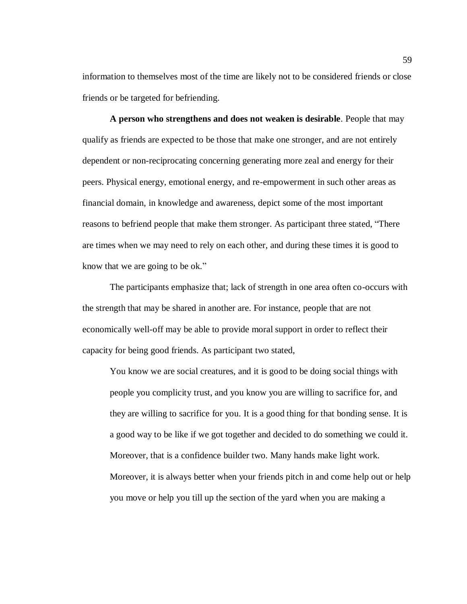information to themselves most of the time are likely not to be considered friends or close friends or be targeted for befriending.

**A person who strengthens and does not weaken is desirable**. People that may qualify as friends are expected to be those that make one stronger, and are not entirely dependent or non-reciprocating concerning generating more zeal and energy for their peers. Physical energy, emotional energy, and re-empowerment in such other areas as financial domain, in knowledge and awareness, depict some of the most important reasons to befriend people that make them stronger. As participant three stated, "There are times when we may need to rely on each other, and during these times it is good to know that we are going to be ok."

The participants emphasize that; lack of strength in one area often co-occurs with the strength that may be shared in another are. For instance, people that are not economically well-off may be able to provide moral support in order to reflect their capacity for being good friends. As participant two stated,

You know we are social creatures, and it is good to be doing social things with people you complicity trust, and you know you are willing to sacrifice for, and they are willing to sacrifice for you. It is a good thing for that bonding sense. It is a good way to be like if we got together and decided to do something we could it. Moreover, that is a confidence builder two. Many hands make light work. Moreover, it is always better when your friends pitch in and come help out or help you move or help you till up the section of the yard when you are making a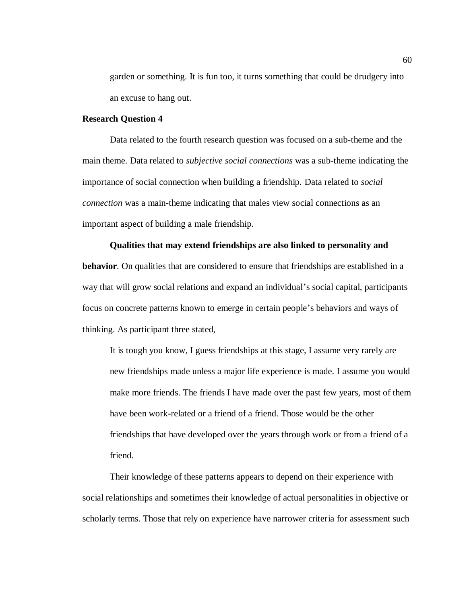garden or something. It is fun too, it turns something that could be drudgery into an excuse to hang out.

## **Research Question 4**

Data related to the fourth research question was focused on a sub-theme and the main theme. Data related to *subjective social connections* was a sub-theme indicating the importance of social connection when building a friendship. Data related to *social connection* was a main-theme indicating that males view social connections as an important aspect of building a male friendship.

#### **Qualities that may extend friendships are also linked to personality and**

**behavior**. On qualities that are considered to ensure that friendships are established in a way that will grow social relations and expand an individual's social capital, participants focus on concrete patterns known to emerge in certain people's behaviors and ways of thinking. As participant three stated,

It is tough you know, I guess friendships at this stage, I assume very rarely are new friendships made unless a major life experience is made. I assume you would make more friends. The friends I have made over the past few years, most of them have been work-related or a friend of a friend. Those would be the other friendships that have developed over the years through work or from a friend of a friend.

Their knowledge of these patterns appears to depend on their experience with social relationships and sometimes their knowledge of actual personalities in objective or scholarly terms. Those that rely on experience have narrower criteria for assessment such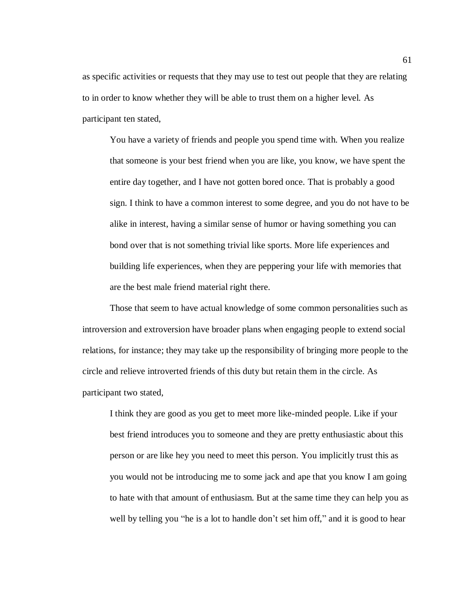as specific activities or requests that they may use to test out people that they are relating to in order to know whether they will be able to trust them on a higher level. As participant ten stated,

You have a variety of friends and people you spend time with. When you realize that someone is your best friend when you are like, you know, we have spent the entire day together, and I have not gotten bored once. That is probably a good sign. I think to have a common interest to some degree, and you do not have to be alike in interest, having a similar sense of humor or having something you can bond over that is not something trivial like sports. More life experiences and building life experiences, when they are peppering your life with memories that are the best male friend material right there.

Those that seem to have actual knowledge of some common personalities such as introversion and extroversion have broader plans when engaging people to extend social relations, for instance; they may take up the responsibility of bringing more people to the circle and relieve introverted friends of this duty but retain them in the circle. As participant two stated,

I think they are good as you get to meet more like-minded people. Like if your best friend introduces you to someone and they are pretty enthusiastic about this person or are like hey you need to meet this person. You implicitly trust this as you would not be introducing me to some jack and ape that you know I am going to hate with that amount of enthusiasm. But at the same time they can help you as well by telling you "he is a lot to handle don't set him off," and it is good to hear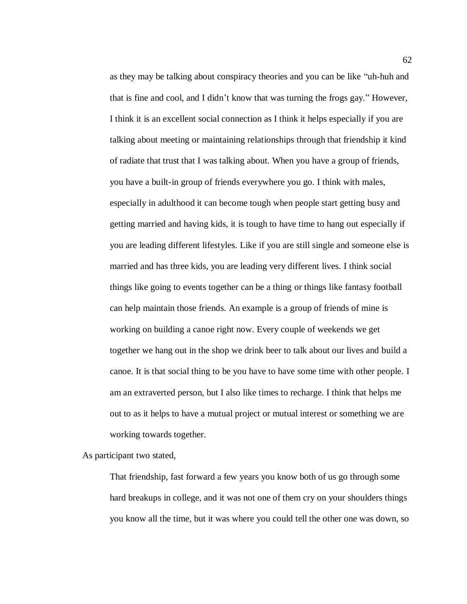as they may be talking about conspiracy theories and you can be like "uh-huh and that is fine and cool, and I didn't know that was turning the frogs gay." However, I think it is an excellent social connection as I think it helps especially if you are talking about meeting or maintaining relationships through that friendship it kind of radiate that trust that I was talking about. When you have a group of friends, you have a built-in group of friends everywhere you go. I think with males, especially in adulthood it can become tough when people start getting busy and getting married and having kids, it is tough to have time to hang out especially if you are leading different lifestyles. Like if you are still single and someone else is married and has three kids, you are leading very different lives. I think social things like going to events together can be a thing or things like fantasy football can help maintain those friends. An example is a group of friends of mine is working on building a canoe right now. Every couple of weekends we get together we hang out in the shop we drink beer to talk about our lives and build a canoe. It is that social thing to be you have to have some time with other people. I am an extraverted person, but I also like times to recharge. I think that helps me out to as it helps to have a mutual project or mutual interest or something we are working towards together.

As participant two stated,

That friendship, fast forward a few years you know both of us go through some hard breakups in college, and it was not one of them cry on your shoulders things you know all the time, but it was where you could tell the other one was down, so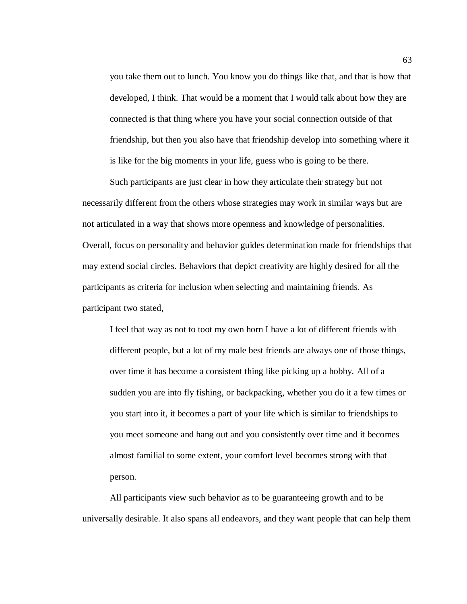you take them out to lunch. You know you do things like that, and that is how that developed, I think. That would be a moment that I would talk about how they are connected is that thing where you have your social connection outside of that friendship, but then you also have that friendship develop into something where it is like for the big moments in your life, guess who is going to be there.

Such participants are just clear in how they articulate their strategy but not necessarily different from the others whose strategies may work in similar ways but are not articulated in a way that shows more openness and knowledge of personalities. Overall, focus on personality and behavior guides determination made for friendships that may extend social circles. Behaviors that depict creativity are highly desired for all the participants as criteria for inclusion when selecting and maintaining friends. As participant two stated,

I feel that way as not to toot my own horn I have a lot of different friends with different people, but a lot of my male best friends are always one of those things, over time it has become a consistent thing like picking up a hobby. All of a sudden you are into fly fishing, or backpacking, whether you do it a few times or you start into it, it becomes a part of your life which is similar to friendships to you meet someone and hang out and you consistently over time and it becomes almost familial to some extent, your comfort level becomes strong with that person.

All participants view such behavior as to be guaranteeing growth and to be universally desirable. It also spans all endeavors, and they want people that can help them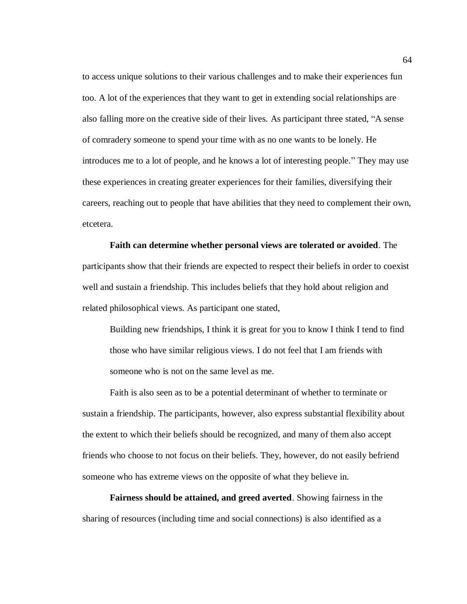to access unique solutions to their various challenges and to make their experiences fun too. A lot of the experiences that they want to get in extending social relationships are also falling more on the creative side of their lives. As participant three stated, "A sense of comradery someone to spend your time with as no one wants to be lonely. He introduces me to a lot of people, and he knows a lot of interesting people." They may use these experiences in creating greater experiences for their families, diversifying their careers, reaching out to people that have abilities that they need to complement their own, etcetera.

**Faith can determine whether personal views are tolerated or avoided**. The participants show that their friends are expected to respect their beliefs in order to coexist well and sustain a friendship. This includes beliefs that they hold about religion and related philosophical views. As participant one stated,

Building new friendships, I think it is great for you to know I think I tend to find those who have similar religious views. I do not feel that I am friends with someone who is not on the same level as me.

Faith is also seen as to be a potential determinant of whether to terminate or sustain a friendship. The participants, however, also express substantial flexibility about the extent to which their beliefs should be recognized, and many of them also accept friends who choose to not focus on their beliefs. They, however, do not easily befriend someone who has extreme views on the opposite of what they believe in.

**Fairness should be attained, and greed averted**. Showing fairness in the sharing of resources (including time and social connections) is also identified as a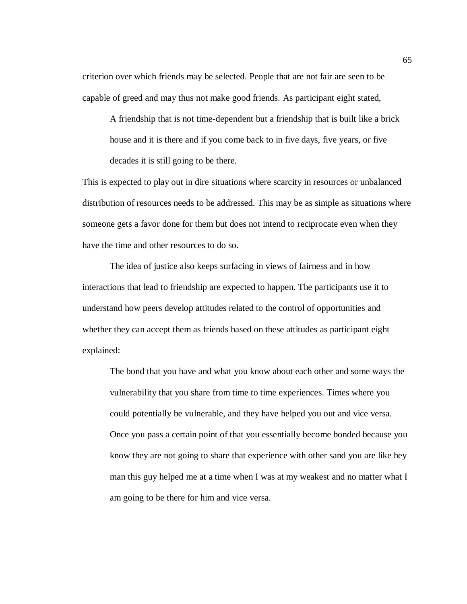criterion over which friends may be selected. People that are not fair are seen to be capable of greed and may thus not make good friends. As participant eight stated,

A friendship that is not time-dependent but a friendship that is built like a brick house and it is there and if you come back to in five days, five years, or five decades it is still going to be there.

This is expected to play out in dire situations where scarcity in resources or unbalanced distribution of resources needs to be addressed. This may be as simple as situations where someone gets a favor done for them but does not intend to reciprocate even when they have the time and other resources to do so.

The idea of justice also keeps surfacing in views of fairness and in how interactions that lead to friendship are expected to happen. The participants use it to understand how peers develop attitudes related to the control of opportunities and whether they can accept them as friends based on these attitudes as participant eight explained:

The bond that you have and what you know about each other and some ways the vulnerability that you share from time to time experiences. Times where you could potentially be vulnerable, and they have helped you out and vice versa. Once you pass a certain point of that you essentially become bonded because you know they are not going to share that experience with other sand you are like hey man this guy helped me at a time when I was at my weakest and no matter what I am going to be there for him and vice versa.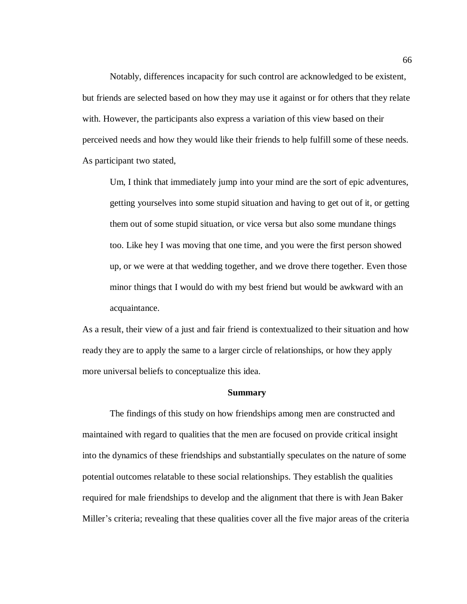Notably, differences incapacity for such control are acknowledged to be existent, but friends are selected based on how they may use it against or for others that they relate with. However, the participants also express a variation of this view based on their perceived needs and how they would like their friends to help fulfill some of these needs. As participant two stated,

Um, I think that immediately jump into your mind are the sort of epic adventures, getting yourselves into some stupid situation and having to get out of it, or getting them out of some stupid situation, or vice versa but also some mundane things too. Like hey I was moving that one time, and you were the first person showed up, or we were at that wedding together, and we drove there together. Even those minor things that I would do with my best friend but would be awkward with an acquaintance.

As a result, their view of a just and fair friend is contextualized to their situation and how ready they are to apply the same to a larger circle of relationships, or how they apply more universal beliefs to conceptualize this idea.

#### **Summary**

The findings of this study on how friendships among men are constructed and maintained with regard to qualities that the men are focused on provide critical insight into the dynamics of these friendships and substantially speculates on the nature of some potential outcomes relatable to these social relationships. They establish the qualities required for male friendships to develop and the alignment that there is with Jean Baker Miller's criteria; revealing that these qualities cover all the five major areas of the criteria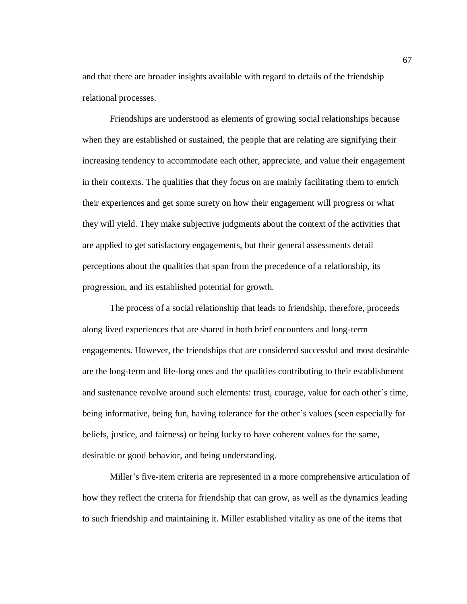and that there are broader insights available with regard to details of the friendship relational processes.

Friendships are understood as elements of growing social relationships because when they are established or sustained, the people that are relating are signifying their increasing tendency to accommodate each other, appreciate, and value their engagement in their contexts. The qualities that they focus on are mainly facilitating them to enrich their experiences and get some surety on how their engagement will progress or what they will yield. They make subjective judgments about the context of the activities that are applied to get satisfactory engagements, but their general assessments detail perceptions about the qualities that span from the precedence of a relationship, its progression, and its established potential for growth.

The process of a social relationship that leads to friendship, therefore, proceeds along lived experiences that are shared in both brief encounters and long-term engagements. However, the friendships that are considered successful and most desirable are the long-term and life-long ones and the qualities contributing to their establishment and sustenance revolve around such elements: trust, courage, value for each other's time, being informative, being fun, having tolerance for the other's values (seen especially for beliefs, justice, and fairness) or being lucky to have coherent values for the same, desirable or good behavior, and being understanding.

Miller's five-item criteria are represented in a more comprehensive articulation of how they reflect the criteria for friendship that can grow, as well as the dynamics leading to such friendship and maintaining it. Miller established vitality as one of the items that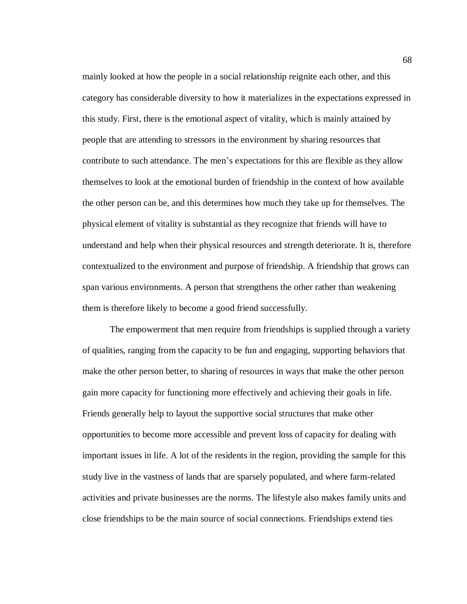mainly looked at how the people in a social relationship reignite each other, and this category has considerable diversity to how it materializes in the expectations expressed in this study. First, there is the emotional aspect of vitality, which is mainly attained by people that are attending to stressors in the environment by sharing resources that contribute to such attendance. The men's expectations for this are flexible as they allow themselves to look at the emotional burden of friendship in the context of how available the other person can be, and this determines how much they take up for themselves. The physical element of vitality is substantial as they recognize that friends will have to understand and help when their physical resources and strength deteriorate. It is, therefore contextualized to the environment and purpose of friendship. A friendship that grows can span various environments. A person that strengthens the other rather than weakening them is therefore likely to become a good friend successfully.

The empowerment that men require from friendships is supplied through a variety of qualities, ranging from the capacity to be fun and engaging, supporting behaviors that make the other person better, to sharing of resources in ways that make the other person gain more capacity for functioning more effectively and achieving their goals in life. Friends generally help to layout the supportive social structures that make other opportunities to become more accessible and prevent loss of capacity for dealing with important issues in life. A lot of the residents in the region, providing the sample for this study live in the vastness of lands that are sparsely populated, and where farm-related activities and private businesses are the norms. The lifestyle also makes family units and close friendships to be the main source of social connections. Friendships extend ties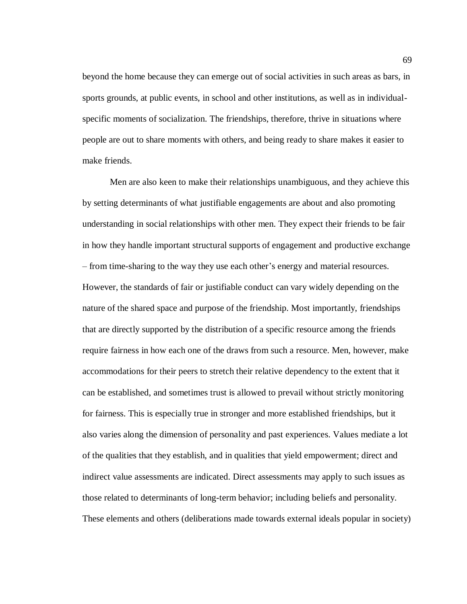beyond the home because they can emerge out of social activities in such areas as bars, in sports grounds, at public events, in school and other institutions, as well as in individualspecific moments of socialization. The friendships, therefore, thrive in situations where people are out to share moments with others, and being ready to share makes it easier to make friends.

Men are also keen to make their relationships unambiguous, and they achieve this by setting determinants of what justifiable engagements are about and also promoting understanding in social relationships with other men. They expect their friends to be fair in how they handle important structural supports of engagement and productive exchange – from time-sharing to the way they use each other's energy and material resources. However, the standards of fair or justifiable conduct can vary widely depending on the nature of the shared space and purpose of the friendship. Most importantly, friendships that are directly supported by the distribution of a specific resource among the friends require fairness in how each one of the draws from such a resource. Men, however, make accommodations for their peers to stretch their relative dependency to the extent that it can be established, and sometimes trust is allowed to prevail without strictly monitoring for fairness. This is especially true in stronger and more established friendships, but it also varies along the dimension of personality and past experiences. Values mediate a lot of the qualities that they establish, and in qualities that yield empowerment; direct and indirect value assessments are indicated. Direct assessments may apply to such issues as those related to determinants of long-term behavior; including beliefs and personality. These elements and others (deliberations made towards external ideals popular in society)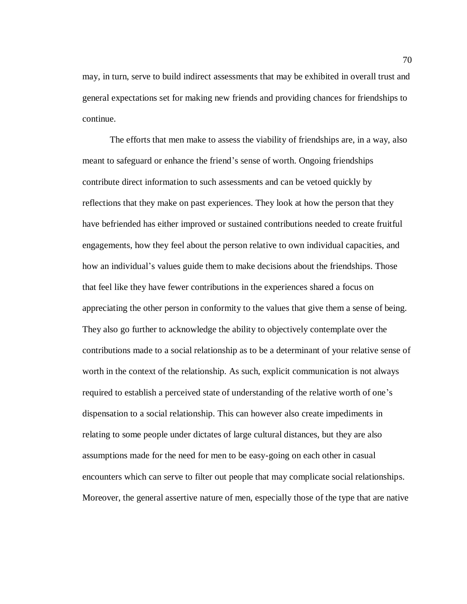may, in turn, serve to build indirect assessments that may be exhibited in overall trust and general expectations set for making new friends and providing chances for friendships to continue.

The efforts that men make to assess the viability of friendships are, in a way, also meant to safeguard or enhance the friend's sense of worth. Ongoing friendships contribute direct information to such assessments and can be vetoed quickly by reflections that they make on past experiences. They look at how the person that they have befriended has either improved or sustained contributions needed to create fruitful engagements, how they feel about the person relative to own individual capacities, and how an individual's values guide them to make decisions about the friendships. Those that feel like they have fewer contributions in the experiences shared a focus on appreciating the other person in conformity to the values that give them a sense of being. They also go further to acknowledge the ability to objectively contemplate over the contributions made to a social relationship as to be a determinant of your relative sense of worth in the context of the relationship. As such, explicit communication is not always required to establish a perceived state of understanding of the relative worth of one's dispensation to a social relationship. This can however also create impediments in relating to some people under dictates of large cultural distances, but they are also assumptions made for the need for men to be easy-going on each other in casual encounters which can serve to filter out people that may complicate social relationships. Moreover, the general assertive nature of men, especially those of the type that are native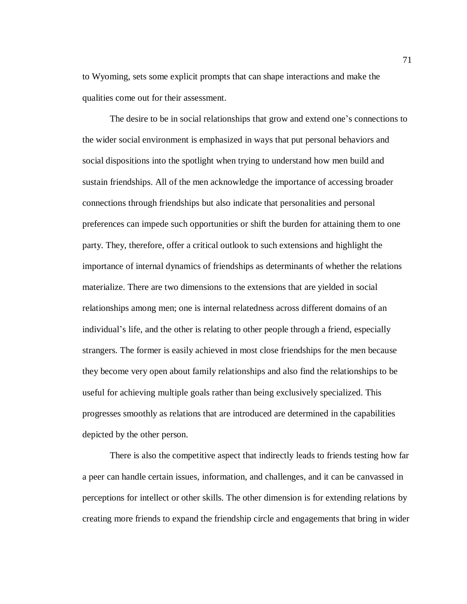to Wyoming, sets some explicit prompts that can shape interactions and make the qualities come out for their assessment.

The desire to be in social relationships that grow and extend one's connections to the wider social environment is emphasized in ways that put personal behaviors and social dispositions into the spotlight when trying to understand how men build and sustain friendships. All of the men acknowledge the importance of accessing broader connections through friendships but also indicate that personalities and personal preferences can impede such opportunities or shift the burden for attaining them to one party. They, therefore, offer a critical outlook to such extensions and highlight the importance of internal dynamics of friendships as determinants of whether the relations materialize. There are two dimensions to the extensions that are yielded in social relationships among men; one is internal relatedness across different domains of an individual's life, and the other is relating to other people through a friend, especially strangers. The former is easily achieved in most close friendships for the men because they become very open about family relationships and also find the relationships to be useful for achieving multiple goals rather than being exclusively specialized. This progresses smoothly as relations that are introduced are determined in the capabilities depicted by the other person.

There is also the competitive aspect that indirectly leads to friends testing how far a peer can handle certain issues, information, and challenges, and it can be canvassed in perceptions for intellect or other skills. The other dimension is for extending relations by creating more friends to expand the friendship circle and engagements that bring in wider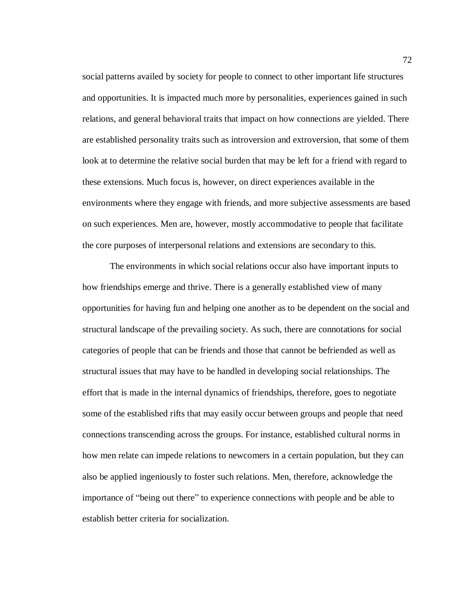social patterns availed by society for people to connect to other important life structures and opportunities. It is impacted much more by personalities, experiences gained in such relations, and general behavioral traits that impact on how connections are yielded. There are established personality traits such as introversion and extroversion, that some of them look at to determine the relative social burden that may be left for a friend with regard to these extensions. Much focus is, however, on direct experiences available in the environments where they engage with friends, and more subjective assessments are based on such experiences. Men are, however, mostly accommodative to people that facilitate the core purposes of interpersonal relations and extensions are secondary to this.

The environments in which social relations occur also have important inputs to how friendships emerge and thrive. There is a generally established view of many opportunities for having fun and helping one another as to be dependent on the social and structural landscape of the prevailing society. As such, there are connotations for social categories of people that can be friends and those that cannot be befriended as well as structural issues that may have to be handled in developing social relationships. The effort that is made in the internal dynamics of friendships, therefore, goes to negotiate some of the established rifts that may easily occur between groups and people that need connections transcending across the groups. For instance, established cultural norms in how men relate can impede relations to newcomers in a certain population, but they can also be applied ingeniously to foster such relations. Men, therefore, acknowledge the importance of "being out there" to experience connections with people and be able to establish better criteria for socialization.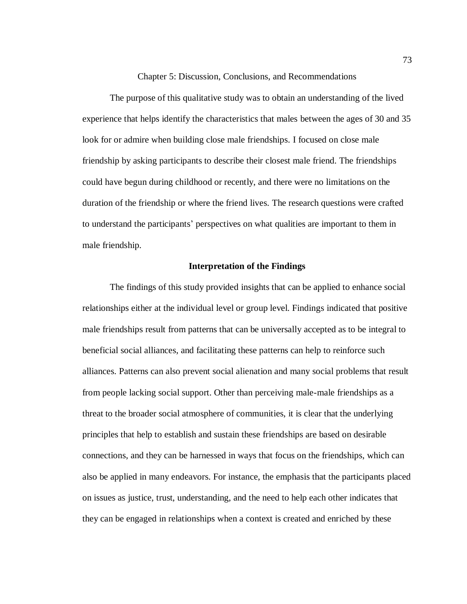Chapter 5: Discussion, Conclusions, and Recommendations

The purpose of this qualitative study was to obtain an understanding of the lived experience that helps identify the characteristics that males between the ages of 30 and 35 look for or admire when building close male friendships. I focused on close male friendship by asking participants to describe their closest male friend. The friendships could have begun during childhood or recently, and there were no limitations on the duration of the friendship or where the friend lives. The research questions were crafted to understand the participants' perspectives on what qualities are important to them in male friendship.

## **Interpretation of the Findings**

The findings of this study provided insights that can be applied to enhance social relationships either at the individual level or group level. Findings indicated that positive male friendships result from patterns that can be universally accepted as to be integral to beneficial social alliances, and facilitating these patterns can help to reinforce such alliances. Patterns can also prevent social alienation and many social problems that result from people lacking social support. Other than perceiving male-male friendships as a threat to the broader social atmosphere of communities, it is clear that the underlying principles that help to establish and sustain these friendships are based on desirable connections, and they can be harnessed in ways that focus on the friendships, which can also be applied in many endeavors. For instance, the emphasis that the participants placed on issues as justice, trust, understanding, and the need to help each other indicates that they can be engaged in relationships when a context is created and enriched by these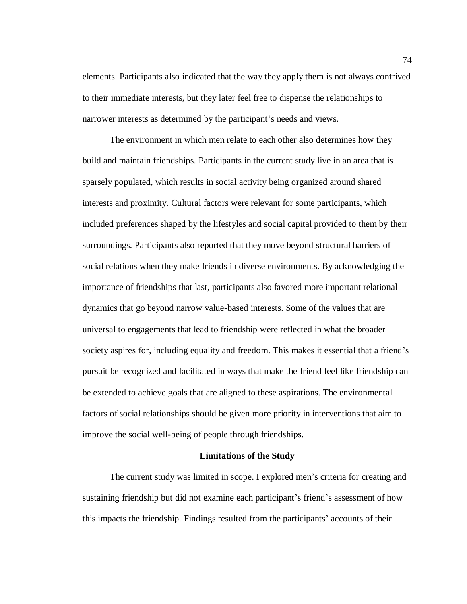elements. Participants also indicated that the way they apply them is not always contrived to their immediate interests, but they later feel free to dispense the relationships to narrower interests as determined by the participant's needs and views.

The environment in which men relate to each other also determines how they build and maintain friendships. Participants in the current study live in an area that is sparsely populated, which results in social activity being organized around shared interests and proximity. Cultural factors were relevant for some participants, which included preferences shaped by the lifestyles and social capital provided to them by their surroundings. Participants also reported that they move beyond structural barriers of social relations when they make friends in diverse environments. By acknowledging the importance of friendships that last, participants also favored more important relational dynamics that go beyond narrow value-based interests. Some of the values that are universal to engagements that lead to friendship were reflected in what the broader society aspires for, including equality and freedom. This makes it essential that a friend's pursuit be recognized and facilitated in ways that make the friend feel like friendship can be extended to achieve goals that are aligned to these aspirations. The environmental factors of social relationships should be given more priority in interventions that aim to improve the social well-being of people through friendships.

#### **Limitations of the Study**

The current study was limited in scope. I explored men's criteria for creating and sustaining friendship but did not examine each participant's friend's assessment of how this impacts the friendship. Findings resulted from the participants' accounts of their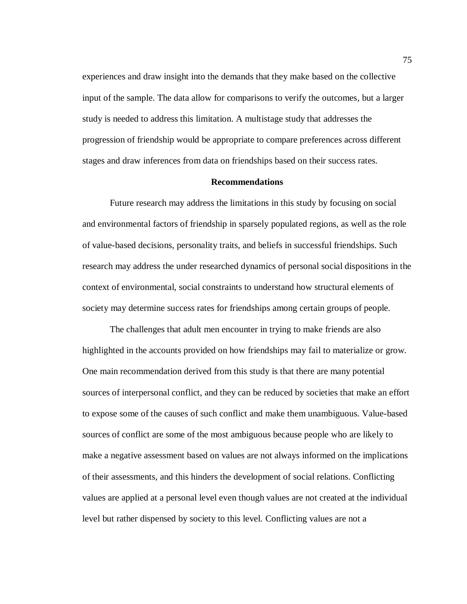experiences and draw insight into the demands that they make based on the collective input of the sample. The data allow for comparisons to verify the outcomes, but a larger study is needed to address this limitation. A multistage study that addresses the progression of friendship would be appropriate to compare preferences across different stages and draw inferences from data on friendships based on their success rates.

### **Recommendations**

Future research may address the limitations in this study by focusing on social and environmental factors of friendship in sparsely populated regions, as well as the role of value-based decisions, personality traits, and beliefs in successful friendships. Such research may address the under researched dynamics of personal social dispositions in the context of environmental, social constraints to understand how structural elements of society may determine success rates for friendships among certain groups of people.

The challenges that adult men encounter in trying to make friends are also highlighted in the accounts provided on how friendships may fail to materialize or grow. One main recommendation derived from this study is that there are many potential sources of interpersonal conflict, and they can be reduced by societies that make an effort to expose some of the causes of such conflict and make them unambiguous. Value-based sources of conflict are some of the most ambiguous because people who are likely to make a negative assessment based on values are not always informed on the implications of their assessments, and this hinders the development of social relations. Conflicting values are applied at a personal level even though values are not created at the individual level but rather dispensed by society to this level. Conflicting values are not a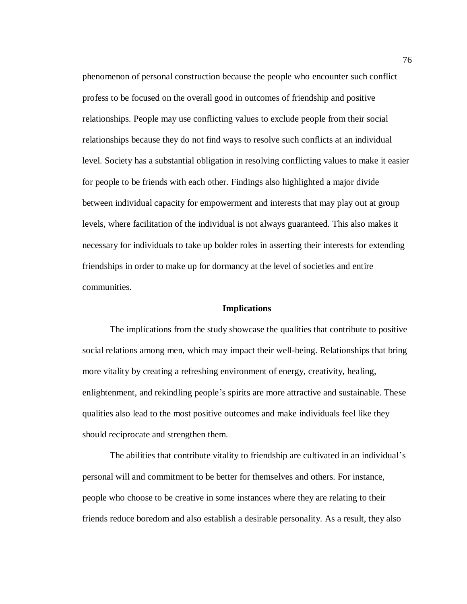phenomenon of personal construction because the people who encounter such conflict profess to be focused on the overall good in outcomes of friendship and positive relationships. People may use conflicting values to exclude people from their social relationships because they do not find ways to resolve such conflicts at an individual level. Society has a substantial obligation in resolving conflicting values to make it easier for people to be friends with each other. Findings also highlighted a major divide between individual capacity for empowerment and interests that may play out at group levels, where facilitation of the individual is not always guaranteed. This also makes it necessary for individuals to take up bolder roles in asserting their interests for extending friendships in order to make up for dormancy at the level of societies and entire communities.

#### **Implications**

The implications from the study showcase the qualities that contribute to positive social relations among men, which may impact their well-being. Relationships that bring more vitality by creating a refreshing environment of energy, creativity, healing, enlightenment, and rekindling people's spirits are more attractive and sustainable. These qualities also lead to the most positive outcomes and make individuals feel like they should reciprocate and strengthen them.

The abilities that contribute vitality to friendship are cultivated in an individual's personal will and commitment to be better for themselves and others. For instance, people who choose to be creative in some instances where they are relating to their friends reduce boredom and also establish a desirable personality. As a result, they also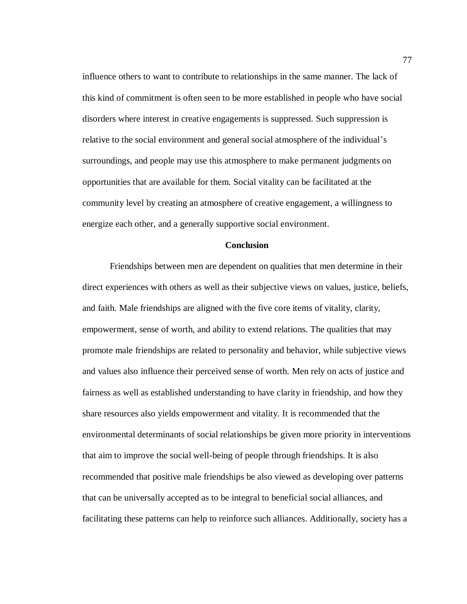influence others to want to contribute to relationships in the same manner. The lack of this kind of commitment is often seen to be more established in people who have social disorders where interest in creative engagements is suppressed. Such suppression is relative to the social environment and general social atmosphere of the individual's surroundings, and people may use this atmosphere to make permanent judgments on opportunities that are available for them. Social vitality can be facilitated at the community level by creating an atmosphere of creative engagement, a willingness to energize each other, and a generally supportive social environment.

#### **Conclusion**

Friendships between men are dependent on qualities that men determine in their direct experiences with others as well as their subjective views on values, justice, beliefs, and faith. Male friendships are aligned with the five core items of vitality, clarity, empowerment, sense of worth, and ability to extend relations. The qualities that may promote male friendships are related to personality and behavior, while subjective views and values also influence their perceived sense of worth. Men rely on acts of justice and fairness as well as established understanding to have clarity in friendship, and how they share resources also yields empowerment and vitality. It is recommended that the environmental determinants of social relationships be given more priority in interventions that aim to improve the social well-being of people through friendships. It is also recommended that positive male friendships be also viewed as developing over patterns that can be universally accepted as to be integral to beneficial social alliances, and facilitating these patterns can help to reinforce such alliances. Additionally, society has a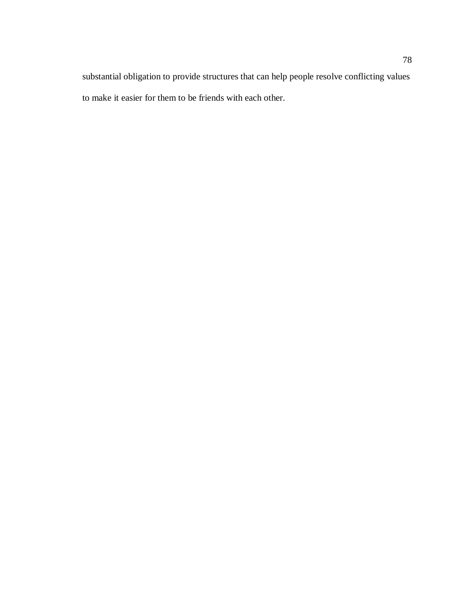substantial obligation to provide structures that can help people resolve conflicting values to make it easier for them to be friends with each other.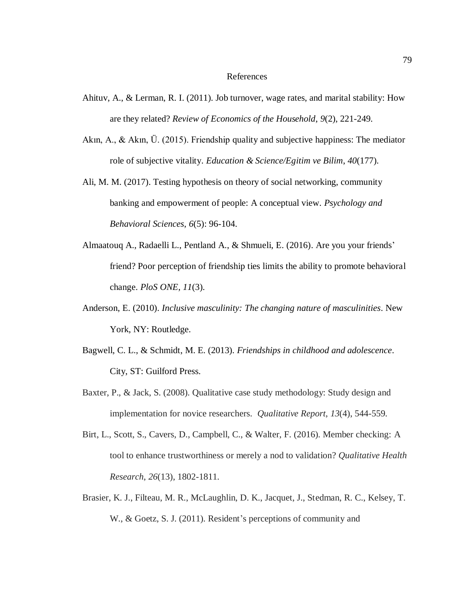#### References

- Ahituv, A., & Lerman, R. I. (2011). Job turnover, wage rates, and marital stability: How are they related? *Review of Economics of the Household*, *9*(2), 221-249.
- Akın, A., & Akın, Ü. (2015). Friendship quality and subjective happiness: The mediator role of subjective vitality. *Education & Science/Egitim ve Bilim*, *40*(177).
- Ali, M. M. (2017). Testing hypothesis on theory of social networking, community banking and empowerment of people: A conceptual view. *Psychology and Behavioral Sciences*, *6*(5): 96-104.
- Almaatouq A., Radaelli L., Pentland A., & Shmueli, E. (2016). Are you your friends' friend? Poor perception of friendship ties limits the ability to promote behavioral change. *PloS ONE, 11*(3).
- Anderson, E. (2010). *Inclusive masculinity: The changing nature of masculinities*. New York, NY: Routledge.
- Bagwell, C. L., & Schmidt, M. E. (2013). *Friendships in childhood and adolescence*. City, ST: Guilford Press.
- Baxter, P., & Jack, S. (2008). Qualitative case study methodology: Study design and implementation for novice researchers. *Qualitative Report*, *13*(4), 544-559.
- Birt, L., Scott, S., Cavers, D., Campbell, C., & Walter, F. (2016). Member checking: A tool to enhance trustworthiness or merely a nod to validation? *Qualitative Health Research*, *26*(13), 1802-1811.
- Brasier, K. J., Filteau, M. R., McLaughlin, D. K., Jacquet, J., Stedman, R. C., Kelsey, T. W., & Goetz, S. J. (2011). Resident's perceptions of community and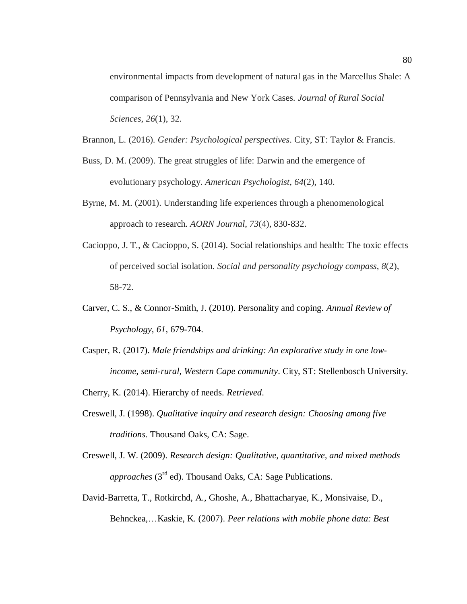environmental impacts from development of natural gas in the Marcellus Shale: A comparison of Pennsylvania and New York Cases. *Journal of Rural Social Sciences*, *26*(1), 32.

Brannon, L. (2016). *Gender: Psychological perspectives*. City, ST: Taylor & Francis.

- Buss, D. M. (2009). The great struggles of life: Darwin and the emergence of evolutionary psychology. *American Psychologist*, *64*(2), 140.
- Byrne, M. M. (2001). Understanding life experiences through a phenomenological approach to research. *AORN Journal*, *73*(4), 830-832.
- Cacioppo, J. T., & Cacioppo, S. (2014). Social relationships and health: The toxic effects of perceived social isolation. *Social and personality psychology compass*, *8*(2), 58-72.
- Carver, C. S., & Connor-Smith, J. (2010). Personality and coping. *Annual Review of Psychology*, *61*, 679-704.
- Casper, R. (2017). *Male friendships and drinking: An explorative study in one lowincome, semi-rural, Western Cape community*. City, ST: Stellenbosch University.

Cherry, K. (2014). Hierarchy of needs. *Retrieved*.

- Creswell, J. (1998). *Qualitative inquiry and research design: Choosing among five traditions*. Thousand Oaks, CA: Sage.
- Creswell, J. W. (2009). *Research design: Qualitative, quantitative, and mixed methods approaches* (3<sup>rd</sup> ed). Thousand Oaks, CA: Sage Publications.
- David-Barretta, T., Rotkirchd, A., Ghoshe, A., Bhattacharyae, K., Monsivaise, D., Behnckea,…Kaskie, K. (2007). *Peer relations with mobile phone data: Best*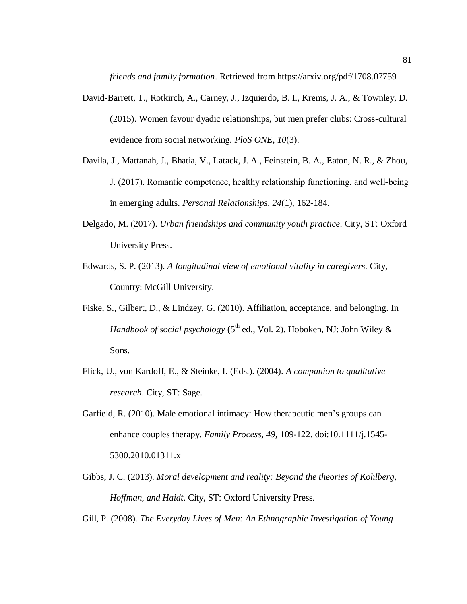*friends and family formation*. Retrieved from https://arxiv.org/pdf/1708.07759

- David-Barrett, T., Rotkirch, A., Carney, J., Izquierdo, B. I., Krems, J. A., & Townley, D. (2015). Women favour dyadic relationships, but men prefer clubs: Cross-cultural evidence from social networking. *PloS ONE*, *10*(3).
- Davila, J., Mattanah, J., Bhatia, V., Latack, J. A., Feinstein, B. A., Eaton, N. R., & Zhou, J. (2017). Romantic competence, healthy relationship functioning, and well‐being in emerging adults. *Personal Relationships*, *24*(1), 162-184.
- Delgado, M. (2017). *Urban friendships and community youth practice*. City, ST: Oxford University Press.
- Edwards, S. P. (2013). *A longitudinal view of emotional vitality in caregivers*. City, Country: McGill University.
- Fiske, S., Gilbert, D., & Lindzey, G. (2010). Affiliation, acceptance, and belonging. In *Handbook of social psychology* (5<sup>th</sup> ed., Vol. 2). Hoboken, NJ: John Wiley & Sons.
- Flick, U., von Kardoff, E., & Steinke, I. (Eds.). (2004). *A companion to qualitative research*. City, ST: Sage.
- Garfield, R. (2010). Male emotional intimacy: How therapeutic men's groups can enhance couples therapy. *Family Process, 49,* 109-122. doi:10.1111/j.1545- 5300.2010.01311.x
- Gibbs, J. C. (2013). *Moral development and reality: Beyond the theories of Kohlberg, Hoffman, and Haidt*. City, ST: Oxford University Press.

Gill, P. (2008). *The Everyday Lives of Men: An Ethnographic Investigation of Young*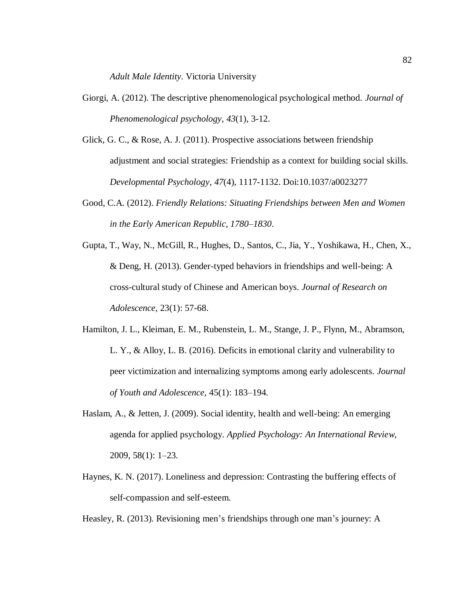*Adult Male Identity*. Victoria University

- Giorgi, A. (2012). The descriptive phenomenological psychological method. *Journal of Phenomenological psychology*, *43*(1), 3-12.
- Glick, G. C., & Rose, A. J. (2011). Prospective associations between friendship adjustment and social strategies: Friendship as a context for building social skills. *Developmental Psychology*, *47*(4), 1117-1132. Doi:10.1037/a0023277
- Good, C.A. (2012). *Friendly Relations: Situating Friendships between Men and Women in the Early American Republic, 1780–1830*.
- Gupta, T., Way, N., McGill, R., Hughes, D., Santos, C., Jia, Y., Yoshikawa, H., Chen, X., & Deng, H. (2013). Gender-typed behaviors in friendships and well-being: A cross-cultural study of Chinese and American boys. *Journal of Research on Adolescence*, 23(1): 57-68.
- Hamilton, J. L., Kleiman, E. M., Rubenstein, L. M., Stange, J. P., Flynn, M., Abramson, L. Y., & Alloy, L. B. (2016). Deficits in emotional clarity and vulnerability to peer victimization and internalizing symptoms among early adolescents. *Journal of Youth and Adolescence*, 45(1): 183–194.
- Haslam, A., & Jetten, J. (2009). Social identity, health and well-being: An emerging agenda for applied psychology. *Applied Psychology: An International Review*, 2009, 58(1): 1–23.
- Haynes, K. N. (2017). Loneliness and depression: Contrasting the buffering effects of self-compassion and self-esteem.

Heasley, R. (2013). Revisioning men's friendships through one man's journey: A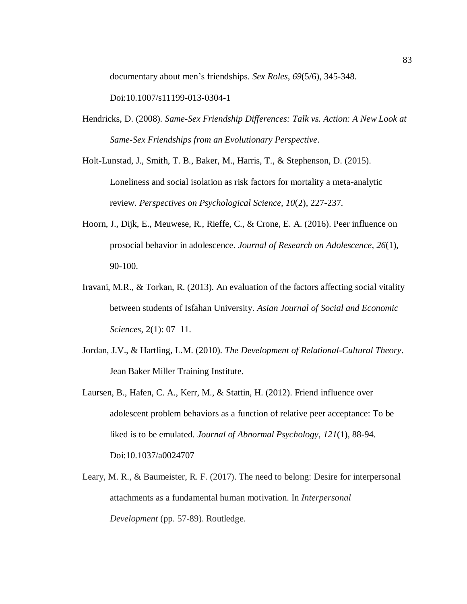documentary about men's friendships. *Sex Roles*, *69*(5/6), 345-348.

Doi:10.1007/s11199-013-0304-1

Hendricks, D. (2008). *Same-Sex Friendship Differences: Talk vs. Action: A New Look at Same-Sex Friendships from an Evolutionary Perspective*.

Holt-Lunstad, J., Smith, T. B., Baker, M., Harris, T., & Stephenson, D. (2015). Loneliness and social isolation as risk factors for mortality a meta-analytic review. *Perspectives on Psychological Science, 10*(2), 227-237.

- Hoorn, J., Dijk, E., Meuwese, R., Rieffe, C., & Crone, E. A. (2016). Peer influence on prosocial behavior in adolescence. *Journal of Research on Adolescence*, *26*(1), 90-100.
- Iravani, M.R., & Torkan, R. (2013). An evaluation of the factors affecting social vitality between students of Isfahan University. *Asian Journal of Social and Economic Sciences*, 2(1): 07–11.
- Jordan, J.V., & Hartling, L.M. (2010). *The Development of Relational-Cultural Theory*. Jean Baker Miller Training Institute.
- Laursen, B., Hafen, C. A., Kerr, M., & Stattin, H. (2012). Friend influence over adolescent problem behaviors as a function of relative peer acceptance: To be liked is to be emulated. *Journal of Abnormal Psychology*, *121*(1), 88-94. Doi:10.1037/a0024707
- Leary, M. R., & Baumeister, R. F. (2017). The need to belong: Desire for interpersonal attachments as a fundamental human motivation. In *Interpersonal Development* (pp. 57-89). Routledge.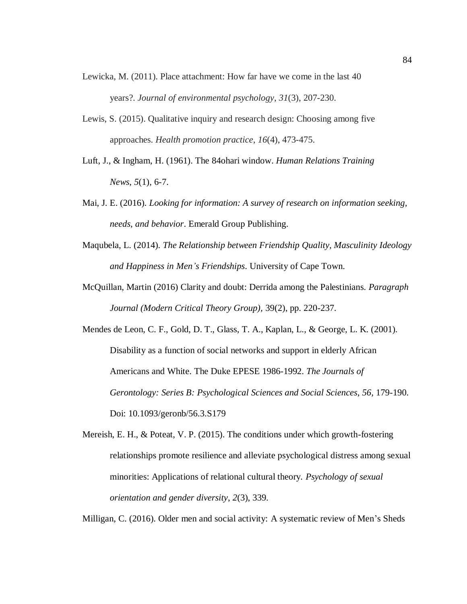- Lewicka, M. (2011). Place attachment: How far have we come in the last 40 years?. *Journal of environmental psychology*, *31*(3), 207-230.
- Lewis, S. (2015). Qualitative inquiry and research design: Choosing among five approaches. *Health promotion practice*, *16*(4), 473-475.
- Luft, J., & Ingham, H. (1961). The 84ohari window. *Human Relations Training News*, *5*(1), 6-7.
- Mai, J. E. (2016). *Looking for information: A survey of research on information seeking, needs, and behavior*. Emerald Group Publishing.
- Maqubela, L. (2014). *The Relationship between Friendship Quality, Masculinity Ideology and Happiness in Men's Friendships*. University of Cape Town.
- McQuillan, Martin (2016) Clarity and doubt: Derrida among the Palestinians. *Paragraph Journal (Modern Critical Theory Group),* 39(2), pp. 220-237.
- Mendes de Leon, C. F., Gold, D. T., Glass, T. A., Kaplan, L., & George, L. K. (2001). Disability as a function of social networks and support in elderly African Americans and White. The Duke EPESE 1986-1992. *The Journals of Gerontology: Series B: Psychological Sciences and Social Sciences, 56,* 179-190. Doi: 10.1093/geronb/56.3.S179
- Mereish, E. H., & Poteat, V. P. (2015). The conditions under which growth-fostering relationships promote resilience and alleviate psychological distress among sexual minorities: Applications of relational cultural theory. *Psychology of sexual orientation and gender diversity*, *2*(3), 339.

Milligan, C. (2016). Older men and social activity: A systematic review of Men's Sheds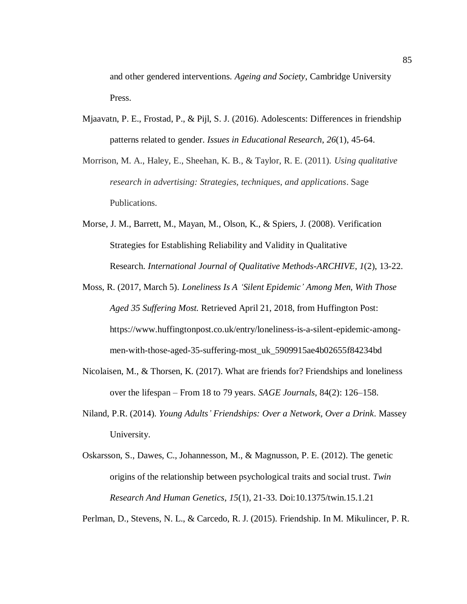and other gendered interventions. *Ageing and Society*, Cambridge University Press.

- Mjaavatn, P. E., Frostad, P., & Pijl, S. J. (2016). Adolescents: Differences in friendship patterns related to gender. *Issues in Educational Research*, *26*(1), 45-64.
- Morrison, M. A., Haley, E., Sheehan, K. B., & Taylor, R. E. (2011). *Using qualitative research in advertising: Strategies, techniques, and applications*. Sage Publications.
- Morse, J. M., Barrett, M., Mayan, M., Olson, K., & Spiers, J. (2008). Verification Strategies for Establishing Reliability and Validity in Qualitative Research. *International Journal of Qualitative Methods-ARCHIVE*, *1*(2), 13-22.
- Moss, R. (2017, March 5). *Loneliness Is A 'Silent Epidemic' Among Men, With Those Aged 35 Suffering Most.* Retrieved April 21, 2018, from Huffington Post: https://www.huffingtonpost.co.uk/entry/loneliness-is-a-silent-epidemic-amongmen-with-those-aged-35-suffering-most\_uk\_5909915ae4b02655f84234bd
- Nicolaisen, M., & Thorsen, K. (2017). What are friends for? Friendships and loneliness over the lifespan – From 18 to 79 years. *SAGE Journals*, 84(2): 126–158.
- Niland, P.R. (2014). *Young Adults' Friendships: Over a Network, Over a Drink*. Massey University.
- Oskarsson, S., Dawes, C., Johannesson, M., & Magnusson, P. E. (2012). The genetic origins of the relationship between psychological traits and social trust. *Twin Research And Human Genetics*, *15*(1), 21-33. Doi:10.1375/twin.15.1.21

Perlman, D., Stevens, N. L., & Carcedo, R. J. (2015). Friendship. In M. Mikulincer, P. R.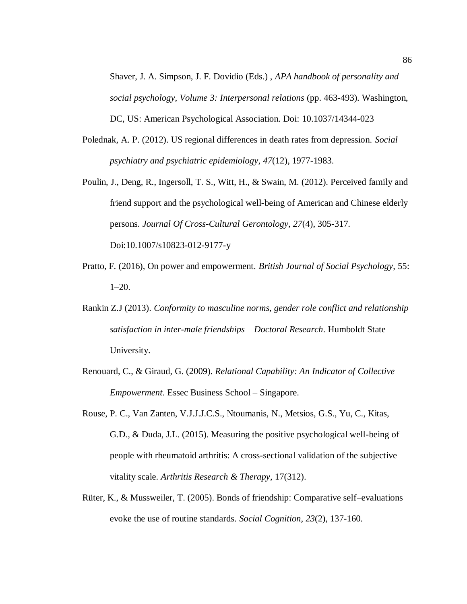Shaver, J. A. Simpson, J. F. Dovidio (Eds.) , *APA handbook of personality and social psychology, Volume 3: Interpersonal relations* (pp. 463-493). Washington, DC, US: American Psychological Association. Doi: 10.1037/14344-023

- Polednak, A. P. (2012). US regional differences in death rates from depression. *Social psychiatry and psychiatric epidemiology*, *47*(12), 1977-1983.
- Poulin, J., Deng, R., Ingersoll, T. S., Witt, H., & Swain, M. (2012). Perceived family and friend support and the psychological well-being of American and Chinese elderly persons. *Journal Of Cross-Cultural Gerontology*, *27*(4), 305-317. Doi:10.1007/s10823-012-9177-y
- Pratto, F. (2016), On power and empowerment. *British Journal of Social Psychology*, 55: 1–20.
- Rankin Z.J (2013). *Conformity to masculine norms, gender role conflict and relationship satisfaction in inter-male friendships – Doctoral Research*. Humboldt State University.
- Renouard, C., & Giraud, G. (2009). *Relational Capability: An Indicator of Collective Empowerment*. Essec Business School – Singapore.
- Rouse, P. C., Van Zanten, V.J.J.J.C.S., Ntoumanis, N., Metsios, G.S., Yu, C., Kitas, G.D., & Duda, J.L. (2015). Measuring the positive psychological well-being of people with rheumatoid arthritis: A cross-sectional validation of the subjective vitality scale. *Arthritis Research & Therapy*, 17(312).
- Rüter, K., & Mussweiler, T. (2005). Bonds of friendship: Comparative self–evaluations evoke the use of routine standards. *Social Cognition*, *23*(2), 137-160.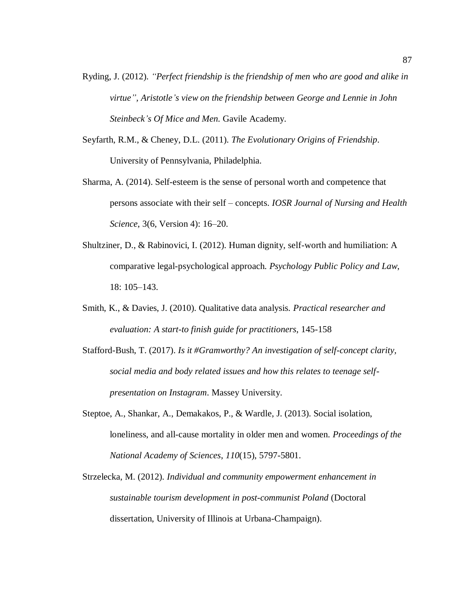- Ryding, J. (2012). *"Perfect friendship is the friendship of men who are good and alike in virtue", Aristotle's view on the friendship between George and Lennie in John Steinbeck's Of Mice and Men.* Gavile Academy.
- Seyfarth, R.M., & Cheney, D.L. (2011). *The Evolutionary Origins of Friendship*. University of Pennsylvania, Philadelphia.
- Sharma, A. (2014). Self-esteem is the sense of personal worth and competence that persons associate with their self – concepts. *IOSR Journal of Nursing and Health Science*, 3(6, Version 4): 16–20.
- Shultziner, D., & Rabinovici, I. (2012). Human dignity, self-worth and humiliation: A comparative legal-psychological approach. *Psychology Public Policy and Law*, 18: 105–143.
- Smith, K., & Davies, J. (2010). Qualitative data analysis. *Practical researcher and evaluation: A start-to finish guide for practitioners*, 145-158
- Stafford-Bush, T. (2017). *Is it #Gramworthy? An investigation of self-concept clarity, social media and body related issues and how this relates to teenage selfpresentation on Instagram*. Massey University.
- Steptoe, A., Shankar, A., Demakakos, P., & Wardle, J. (2013). Social isolation, loneliness, and all-cause mortality in older men and women. *Proceedings of the National Academy of Sciences*, *110*(15), 5797-5801.
- Strzelecka, M. (2012). *Individual and community empowerment enhancement in sustainable tourism development in post-communist Poland* (Doctoral dissertation, University of Illinois at Urbana-Champaign).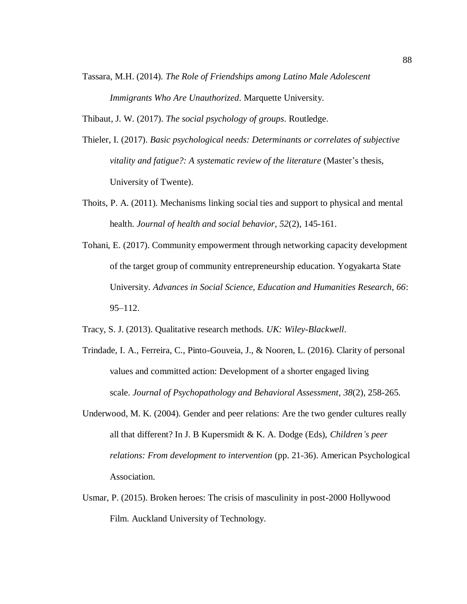Tassara, M.H. (2014). *The Role of Friendships among Latino Male Adolescent Immigrants Who Are Unauthorized*. Marquette University.

Thibaut, J. W. (2017). *The social psychology of groups*. Routledge.

- Thieler, I. (2017). *Basic psychological needs: Determinants or correlates of subjective vitality and fatigue?: A systematic review of the literature* (Master's thesis, University of Twente).
- Thoits, P. A. (2011). Mechanisms linking social ties and support to physical and mental health. *Journal of health and social behavior*, *52*(2), 145-161.
- Tohani, E. (2017). Community empowerment through networking capacity development of the target group of community entrepreneurship education. Yogyakarta State University. *Advances in Social Science, Education and Humanities Research, 66*: 95–112.
- Tracy, S. J. (2013). Qualitative research methods. *UK: Wiley-Blackwell*.
- Trindade, I. A., Ferreira, C., Pinto-Gouveia, J., & Nooren, L. (2016). Clarity of personal values and committed action: Development of a shorter engaged living scale. *Journal of Psychopathology and Behavioral Assessment*, *38*(2), 258-265.
- Underwood, M. K. (2004). Gender and peer relations: Are the two gender cultures really all that different? In J. B Kupersmidt & K. A. Dodge (Eds), *Children's peer relations: From development to intervention* (pp. 21-36). American Psychological Association.
- Usmar, P. (2015). Broken heroes: The crisis of masculinity in post-2000 Hollywood Film. Auckland University of Technology.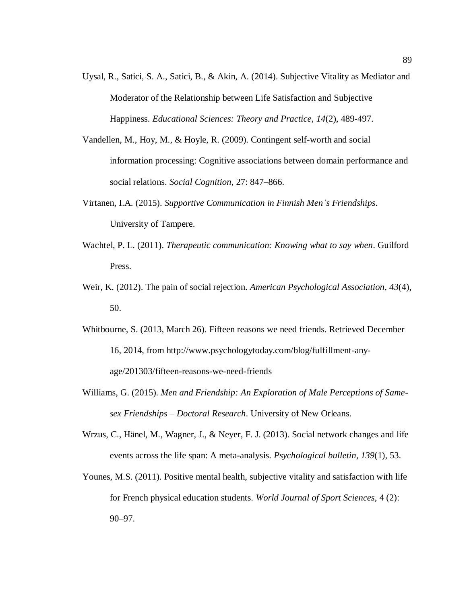- Uysal, R., Satici, S. A., Satici, B., & Akin, A. (2014). Subjective Vitality as Mediator and Moderator of the Relationship between Life Satisfaction and Subjective Happiness. *Educational Sciences: Theory and Practice*, *14*(2), 489-497.
- Vandellen, M., Hoy, M., & Hoyle, R. (2009). Contingent self-worth and social information processing: Cognitive associations between domain performance and social relations. *Social Cognition*, 27: 847–866.
- Virtanen, I.A. (2015). *Supportive Communication in Finnish Men's Friendships*. University of Tampere.
- Wachtel, P. L. (2011). *Therapeutic communication: Knowing what to say when*. Guilford Press.
- Weir, K. (2012). The pain of social rejection. *American Psychological Association*, *43*(4), 50.
- Whitbourne, S. (2013, March 26). Fifteen reasons we need friends. Retrieved December 16, 2014, from http://www.psychologytoday.com/blog/fulfillment-anyage/201303/fifteen-reasons-we-need-friends
- Williams, G. (2015). *Men and Friendship: An Exploration of Male Perceptions of Samesex Friendships – Doctoral Research*. University of New Orleans.
- Wrzus, C., Hänel, M., Wagner, J., & Neyer, F. J. (2013). Social network changes and life events across the life span: A meta-analysis. *Psychological bulletin*, *139*(1), 53.
- Younes, M.S. (2011). Positive mental health, subjective vitality and satisfaction with life for French physical education students. *World Journal of Sport Sciences*, 4 (2): 90–97.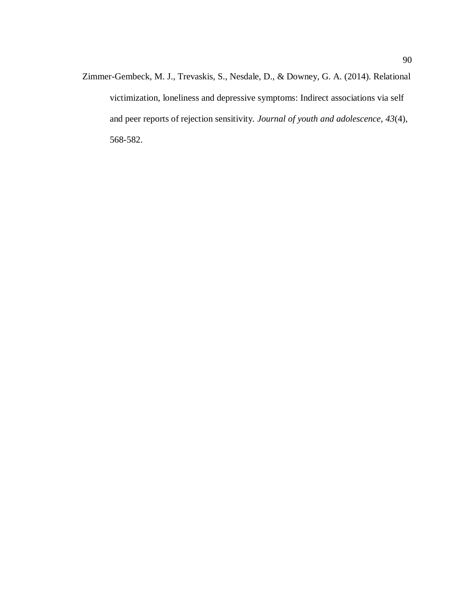Zimmer-Gembeck, M. J., Trevaskis, S., Nesdale, D., & Downey, G. A. (2014). Relational victimization, loneliness and depressive symptoms: Indirect associations via self and peer reports of rejection sensitivity. *Journal of youth and adolescence*, *43*(4), 568-582.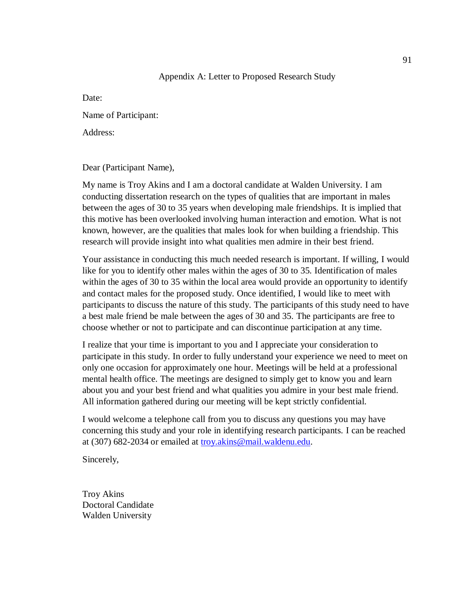### Appendix A: Letter to Proposed Research Study

Date:

Name of Participant:

Address:

Dear (Participant Name),

My name is Troy Akins and I am a doctoral candidate at Walden University. I am conducting dissertation research on the types of qualities that are important in males between the ages of 30 to 35 years when developing male friendships. It is implied that this motive has been overlooked involving human interaction and emotion. What is not known, however, are the qualities that males look for when building a friendship. This research will provide insight into what qualities men admire in their best friend.

Your assistance in conducting this much needed research is important. If willing, I would like for you to identify other males within the ages of 30 to 35. Identification of males within the ages of 30 to 35 within the local area would provide an opportunity to identify and contact males for the proposed study. Once identified, I would like to meet with participants to discuss the nature of this study. The participants of this study need to have a best male friend be male between the ages of 30 and 35. The participants are free to choose whether or not to participate and can discontinue participation at any time.

I realize that your time is important to you and I appreciate your consideration to participate in this study. In order to fully understand your experience we need to meet on only one occasion for approximately one hour. Meetings will be held at a professional mental health office. The meetings are designed to simply get to know you and learn about you and your best friend and what qualities you admire in your best male friend. All information gathered during our meeting will be kept strictly confidential.

I would welcome a telephone call from you to discuss any questions you may have concerning this study and your role in identifying research participants. I can be reached at (307) 682-2034 or emailed at [troy.akins@mail.waldenu.edu.](mailto:troy.akins@mail.waldenu.edu)

Sincerely,

Troy Akins Doctoral Candidate Walden University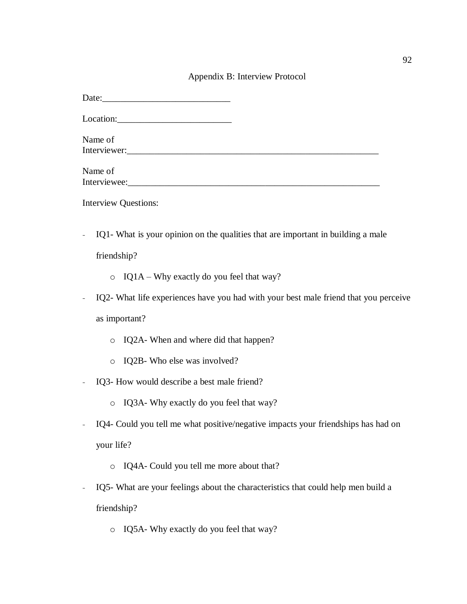# Appendix B: Interview Protocol

| Date: |  |  |
|-------|--|--|
|       |  |  |

Location:

| Name of      |  |  |  |
|--------------|--|--|--|
| Interviewer: |  |  |  |
|              |  |  |  |

| Name of      |  |  |  |
|--------------|--|--|--|
| Interviewee: |  |  |  |

Interview Questions:

- IQ1- What is your opinion on the qualities that are important in building a male

friendship?

- o IQ1A Why exactly do you feel that way?
- IQ2- What life experiences have you had with your best male friend that you perceive as important?
	- o IQ2A- When and where did that happen?
	- o IQ2B- Who else was involved?
- IQ3- How would describe a best male friend?
	- o IQ3A- Why exactly do you feel that way?
- IQ4- Could you tell me what positive/negative impacts your friendships has had on your life?
	- o IQ4A- Could you tell me more about that?
- IQ5- What are your feelings about the characteristics that could help men build a friendship?
	- o IQ5A- Why exactly do you feel that way?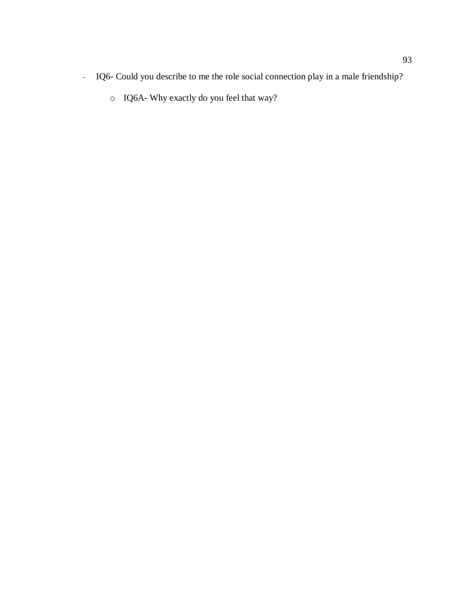- IQ6- Could you describe to me the role social connection play in a male friendship?
	- o IQ6A- Why exactly do you feel that way?